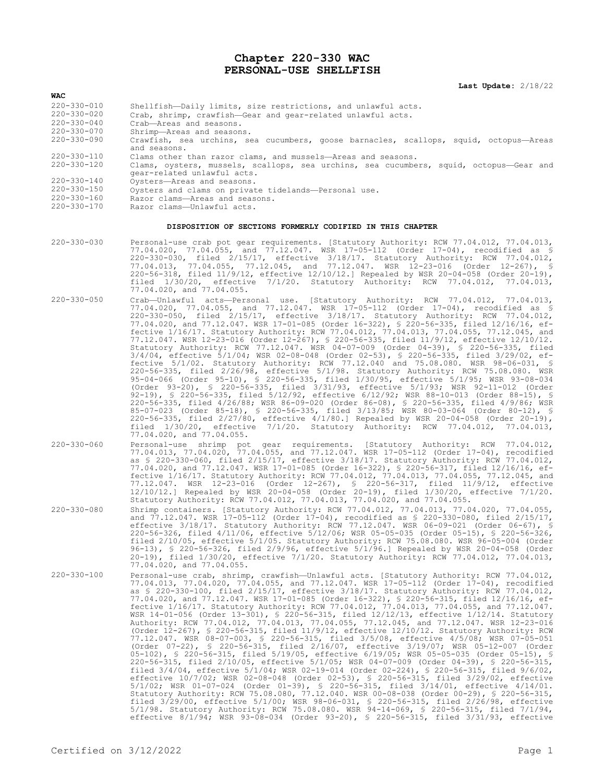### **Chapter 220-330 WAC PERSONAL-USE SHELLFISH**

**Last Update:** 2/18/22

| 220-330-010 |  |  |  |  | Shellfish-Daily limits, size restrictions, and unlawful acts. |  |  |  |
|-------------|--|--|--|--|---------------------------------------------------------------|--|--|--|
|-------------|--|--|--|--|---------------------------------------------------------------|--|--|--|

220-330-020 Crab, shrimp, crawfish—Gear and gear-related unlawful acts.

220-330-040 Crab—Areas and seasons.

**WAC**

- 220-330-070 Shrimp—Areas and seasons.
- Crawfish, sea urchins, sea cucumbers, goose barnacles, scallops, squid, octopus—Areas and seasons.
- 220-330-110 Clams other than razor clams, and mussels—Areas and seasons.<br>220-330-120 Clams, oysters, mussels, scallops, sea urchins, sea cucumbe
	- 220-330-120 Clams, oysters, mussels, scallops, sea urchins, sea cucumbers, squid, octopus—Gear and gear-related unlawful acts.
- 220-330-140 Oysters—Areas and seasons.
- 220-330-150 Oysters and clams on private tidelands—Personal use.<br>220-330-160 Razor clams—Areas and seasons.
- 220-330-160 Razor clams—Areas and seasons.<br>220-330-170 Razor clams—Unlawful acts.
- Razor clams—Unlawful acts.

#### **DISPOSITION OF SECTIONS FORMERLY CODIFIED IN THIS CHAPTER**

- 220-330-030 Personal-use crab pot gear requirements. [Statutory Authority: RCW 77.04.012, 77.04.013, 77.04.020, 77.04.055, and 77.12.047. WSR 17-05-112 (Order 17-04), recodified as § 220-330-030, filed 2/15/17, effective 3/18/17. Statutory Authority: RCW 77.04.012, 77.04.013, 77.04.055, 77.12.045, and 77.12.047. WSR 12-23-016 (Order 12-267), § 220-56-318, filed 11/9/12, effective 12/10/12.] Repealed by WSR 20-04-058 (Order 20-19), filed 1/30/20, effective 7/1/20. Statutory Authority: RCW 77.04.012, 77.04.013, filed 1/30/20, effectively 17.04.020, and 77.04.055.
- 220-330-050 Crab—Unlawful acts—Personal use. [Statutory Authority: RCW 77.04.012, 77.04.013, 77.04.020, 77.04.055, and 77.12.047. WSR 17-05-112 (Order 17-04), recodified as § 220-330-050, filed 2/15/17, effective 3/18/17. Statutory Authority: RCW 77.04.012, 77.04.020, and 77.12.047. WSR 17-01-085 (Order 16-322), § 220-56-335, filed 12/16/16, effective 1/16/17. Statutory Authority: RCW 77.04.012, 77.04.013, 77.04.055, 77.12.045, and 77.12.047. WSR 12-23-016 (Order 12-267), § 220-56-335, filed 11/9/12, effective 12/10/12. Statutory Authority: RCW 77.12.047. WSR 04-07-009 (Order 04-39), § 220-56-335, filed 3/4/04, effective 5/1/04; WSR 02-08-048 (Order 02-53), § 220-56-335, filed 3/29/02, effective 5/1/02. Statutory Authority: RCW 77.12.040 and 75.08.080. WSR 98-06-031, § 220-56-335, filed 2/26/98, effective 5/1/98. Statutory Authority: RCW 75.08.080. WSR 95-04-066 (Order 95-10), § 220-56-335, filed 1/30/95, effective 5/1/95; WSR 93-08-034 (Order 93-20), § 220-56-335, filed 3/31/93, effective 5/1/93; WSR 92-11-012 (Order 92-19), § 220-56-335, filed 5/12/92, effective 6/12/92; WSR 88-10-013 (Order 88-15), § 220-56-335, filed 4/26/88; WSR 86-09-020 (Order 86-08), § 220-56-335, filed 4/9/86; WSR 85-07-023 (Order 85-18), § 220-56-335, filed 3/13/85; WSR 80-03-064 (Order 80-12), § 220-56-335, filed 2/27/80, effective 4/1/80.] Repealed by WSR 20-04-058 (Order 20-19), filed 1/30/20, effective 7/1/20. Statutory Authority: RCW 77.04.012, 77.04.013, 77.04.020, and 77.04.055.
- 220-330-060 Personal-use shrimp pot gear requirements. [Statutory Authority: RCW 77.04.012, 77.04.013, 77.04.020, 77.04.055, and 77.12.047. WSR 17-05-112 (Order 17-04), recodified as § 220-330-060, filed 2/15/17, effective 3/18/17. Statutory Authority: RCW 77.04.012, 77.04.020, and 77.12.047. WSR 17-01-085 (Order 16-322), § 220-56-317, filed 12/16/16, effective 1/16/17. Statutory Authority: RCW 77.04.012, 77.04.013, 77.04.055, 77.12.045, and 77.12.047. WSR 12-23-016 (Order 12-267), § 220-56-317, filed 11/9/12, effective 12/10/12.] Repealed by WSR 20-04-058 (Order 20-19), filed 1/30/20, effective 7/1/20. Statutory Authority: RCW 77.04.012, 77.04.013, 77.04.020, and 77.04.055.
- 220-330-080 Shrimp containers. [Statutory Authority: RCW 77.04.012, 77.04.013, 77.04.020, 77.04.055, and 77.12.047. WSR 17-05-112 (Order 17-04), recodified as § 220-330-080, filed 2/15/17, effective 3/18/17. Statutory Authority: RCW 77.12.047. WSR 06-09-021 (Order 06-67), § 220-56-326, filed 4/11/06, effective 5/12/06; WSR 05-05-035 (Order 05-15), § 220-56-326, filed 2/10/05, effective 5/1/05. Statutory Authority: RCW 75.08.080. WSR 96-05-004 (Order 96-13), § 220-56-326, filed 2/9/96, effective 5/1/96.] Repealed by WSR 20-04-058 (Order 20-19), filed 1/30/20, effective 7/1/20. Statutory Authority: RCW 77.04.012, 77.04.013, 77.04.020, and 77.04.055.
- 220-330-100 Personal-use crab, shrimp, crawfish—Unlawful acts. [Statutory Authority: RCW 77.04.012, 77.04.013, 77.04.020, 77.04.055, and 77.12.047. WSR 17-05-112 (Order 17-04), recodified as § 220-330-100, filed 2/15/17, effective 3/18/17. Statutory Authority: RCW 77.04.012, 77.04.020, and 77.12.047. WSR 17-01-085 (Order 16-322), § 220-56-315, filed 12/16/16, effective 1/16/17. Statutory Authority: RCW 77.04.012, 77.04.013, 77.04.055, and 77.12.047. WSR 14-01-056 (Order 13-301), § 220-56-315, filed 12/12/13, effective 1/12/14. Statutory<br>Authority: RCW 77.04.012, 77.04.013, 77.04.055, 77.12.045, and 77.12.047. WSR 12-23-016 Authority: RCW 77.04.012, 77.04.013, 77.04.055, 77.12.045, and 77.12.047. WSR 12-23-016 (Order 12-267), § 220-56-315, filed 11/9/12, effective 12/10/12. Statutory Authority: RCW 77.12.047. WSR 08-07-003, § 220-56-315, filed 3/5/08, effective 4/5/08; WSR 07-05-051 (Order 07-22), § 220-56-315, filed 2/16/07, effective 3/19/07; WSR 05-12-007 (Order<br>05-102), § 220-56-315, filed 5/19/05, effective 6/19/05; WSR 05-05-035 (Order 05-15), §<br>220-56-315, filed 2/10/05, effective 5/1/05; WSR 0 filed 3/4/04, effective 5/1/04; WSR 02-19-014 (Order 02-224), § 220-56-315, filed 9/6/02, effective 10/7/02; WSR 02-08-048 (Order 02-53), § 220-56-315, filed 3/29/02, effective 5/1/02; WSR 01-07-024 (Order 01-39), § 220-56-315, filed 3/14/01, effective 4/14/01. Statutory Authority: RCW 75.08.080, 77.12.040. WSR 00-08-038 (Order 00-29), § 220-56-315, filed 3/29/00, effective 5/1/00; WSR 98-06-031, § 220-56-315, filed 2/26/98, effective 5/1/98. Statutory Authority: RCW 75.08.080. WSR 94-14-069, § 220-56-315, filed 7/1/94, effective 8/1/94; WSR 93-08-034 (Order 93-20), § 220-56-315, filed 3/31/93, effective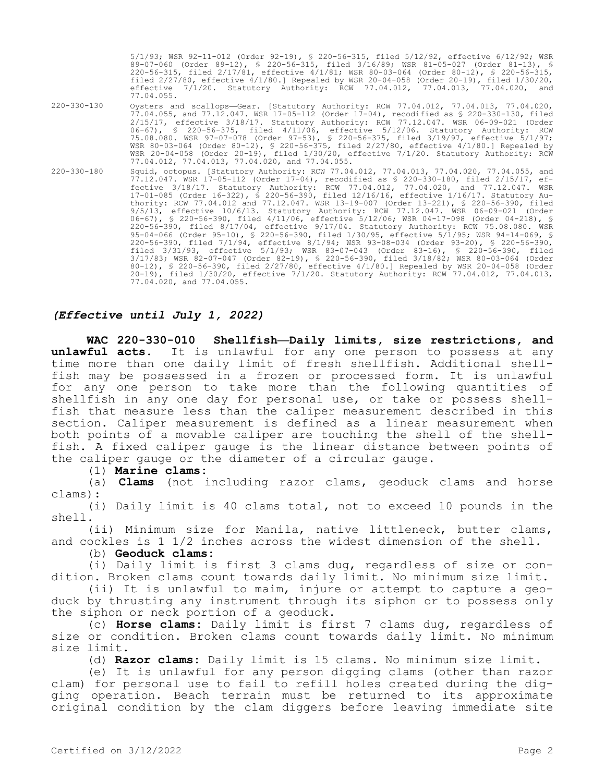5/1/93; WSR 92-11-012 (Order 92-19), § 220-56-315, filed 5/12/92, effective 6/12/92; WSR 89-07-060 (Order 89-12), § 220-56-315, filed 3/16/89; WSR 81-05-027 (Order 81-13), § 220-56-315, filed 2/17/81, effective 4/1/81; WSR 80-03-064 (Order 80-12), § 220-56-315, filed 2/27/80, effective 4/1/80.] Repealed by WSR 20-04-058 (Order 20-19), filed 1/30/20, effective 7/1/20. Statutory Authority: RCW 77.04.012, 77.04.013, 77.04.020, and 77.04.055. 220-330-130 Oysters and scallops—Gear. [Statutory Authority: RCW 77.04.012, 77.04.013, 77.04.020, 77.04.055, and 77.12.047. WSR 17-05-112 (Order 17-04), recodified as § 220-330-130, filed 2/15/17, effective 3/18/17. Statutory Authority: RCW 77.12.047. WSR 06-09-021 (Order 06-67), § 220-56-375, filed 4/11/06, effective 5/12/06. Statutory Authority: RCW 75.08.080. WSR 97-07-078 (Order 97-53), § 220-56-375, filed 3/19/97, effective 5/1/97; WSR 80-03-064 (Order 80-12), § 220-56-375, filed 2/27/80, effective 4/1/80.] Repealed by WSR 20-04-058 (Order 20-19), filed 1/30/20, effective 7/1/20. Statutory Authority: RCW 77.04.012, 77.04.013, 77.04.020, and 77.04.055. 220-330-180 Squid, octopus. [Statutory Authority: RCW 77.04.012, 77.04.013, 77.04.020, 77.04.055, and 77.12.047. WSR 17-05-112 (Order 17-04), recodified as § 220-330-180, filed 2/15/17, effective 3/18/17. Statutory Authority: RCW 77.04.012, 77.04.020, and 77.12.047. WSR 17-01-085 (Order 16-322), § 220-56-390, filed 12/16/16, effective 1/16/17. Statutory Authority: RCW 77.04.012 and 77.12.047. WSR 13-19-007 (Order 13-221), § 220-56-390, filed 9/5/13, effective 10/6/13. Statutory Authority: RCW 77.12.047. WSR 06-09-021 (Order 06-67), § 220-56-390, filed 4/11/06, effective 5/12/06; WSR 04-17-098 (Order 04-218), § 220-56-390, filed 8/17/04, effective 9/17/04. Statutory Authority: RCW 75.08.080. WSR 95-04-066 (Order 95-10), § 220-56-390, filed 1/30/95, effective 5/1/95; WSR 94-14-069, § 220-56-390, filed 7/1/94, effective 8/1/94; WSR 93-08-034 (Order 93-20), § 220-56-390, filed 3/31/93, effective 5/1/93; WSR 83-07-043 (Order 83-16), § 220-56-390, filed 3/17/83; WSR 82-07-047 (Order 82-19), § 220-56-390, filed 3/18/82; WSR 80-03-064 (Order 80-12), § 220-56-390, filed 2/27/80, effective 4/1/80.] Repealed by WSR 20-04-058 (Order 20-19), filed 1/30/20, effective 7/1/20. Statutory Authority: RCW 77.04.012, 77.04.013, 77.04.020, and 77.04.055.

# *(Effective until July 1, 2022)*

**WAC 220-330-010 Shellfish—Daily limits, size restrictions, and unlawful acts.** It is unlawful for any one person to possess at any time more than one daily limit of fresh shellfish. Additional shellfish may be possessed in a frozen or processed form. It is unlawful for any one person to take more than the following quantities of shellfish in any one day for personal use, or take or possess shellfish that measure less than the caliper measurement described in this section. Caliper measurement is defined as a linear measurement when both points of a movable caliper are touching the shell of the shellfish. A fixed caliper gauge is the linear distance between points of the caliper gauge or the diameter of a circular gauge.

(1) **Marine clams:**

(a) **Clams** (not including razor clams, geoduck clams and horse clams):

(i) Daily limit is 40 clams total, not to exceed 10 pounds in the shell.

(ii) Minimum size for Manila, native littleneck, butter clams, and cockles is 1 1/2 inches across the widest dimension of the shell.

(b) **Geoduck clams:**

(i) Daily limit is first 3 clams dug, regardless of size or condition. Broken clams count towards daily limit. No minimum size limit.

(ii) It is unlawful to maim, injure or attempt to capture a geoduck by thrusting any instrument through its siphon or to possess only the siphon or neck portion of a geoduck.

(c) **Horse clams:** Daily limit is first 7 clams dug, regardless of size or condition. Broken clams count towards daily limit. No minimum size limit.

(d) **Razor clams:** Daily limit is 15 clams. No minimum size limit.

(e) It is unlawful for any person digging clams (other than razor clam) for personal use to fail to refill holes created during the digging operation. Beach terrain must be returned to its approximate original condition by the clam diggers before leaving immediate site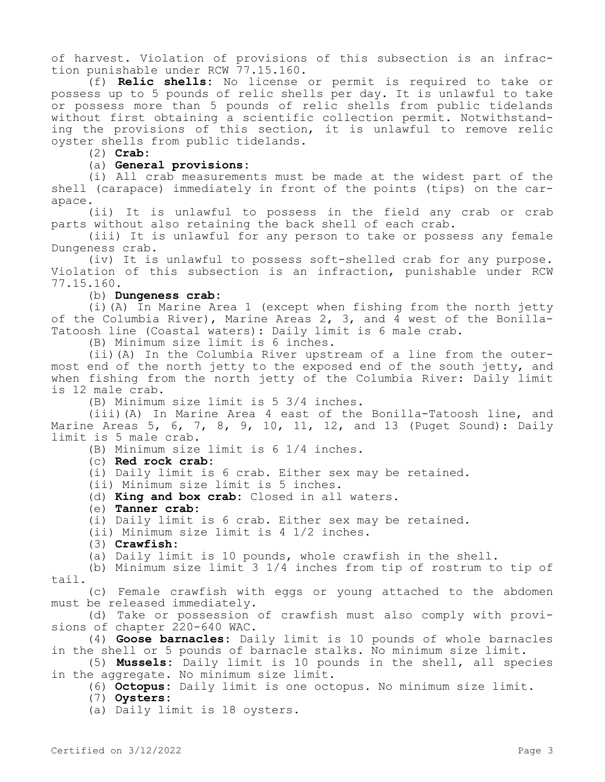of harvest. Violation of provisions of this subsection is an infraction punishable under RCW 77.15.160.

(f) **Relic shells:** No license or permit is required to take or possess up to 5 pounds of relic shells per day. It is unlawful to take or possess more than 5 pounds of relic shells from public tidelands without first obtaining a scientific collection permit. Notwithstanding the provisions of this section, it is unlawful to remove relic oyster shells from public tidelands.

(2) **Crab:**

### (a) **General provisions:**

(i) All crab measurements must be made at the widest part of the shell (carapace) immediately in front of the points (tips) on the carapace.

(ii) It is unlawful to possess in the field any crab or crab parts without also retaining the back shell of each crab.

(iii) It is unlawful for any person to take or possess any female Dungeness crab.

(iv) It is unlawful to possess soft-shelled crab for any purpose. Violation of this subsection is an infraction, punishable under RCW 77.15.160.

(b) **Dungeness crab:**

(i)(A) In Marine Area 1 (except when fishing from the north jetty of the Columbia River), Marine Areas 2, 3, and 4 west of the Bonilla-Tatoosh line (Coastal waters): Daily limit is 6 male crab.

(B) Minimum size limit is 6 inches.

(ii)(A) In the Columbia River upstream of a line from the outermost end of the north jetty to the exposed end of the south jetty, and when fishing from the north jetty of the Columbia River: Daily limit is 12 male crab.

(B) Minimum size limit is 5 3/4 inches.

(iii)(A) In Marine Area 4 east of the Bonilla-Tatoosh line, and Marine Areas 5, 6, 7, 8, 9, 10, 11, 12, and 13 (Puget Sound): Daily limit is 5 male crab.

(B) Minimum size limit is 6 1/4 inches.

(c) **Red rock crab:**

(i) Daily limit is 6 crab. Either sex may be retained.

(ii) Minimum size limit is 5 inches.

(d) **King and box crab:** Closed in all waters.

(e) **Tanner crab:**

(i) Daily limit is 6 crab. Either sex may be retained.

(ii) Minimum size limit is 4 1/2 inches.

(3) **Crawfish:**

(a) Daily limit is 10 pounds, whole crawfish in the shell.

(b) Minimum size limit 3 1/4 inches from tip of rostrum to tip of tail.

(c) Female crawfish with eggs or young attached to the abdomen must be released immediately.

(d) Take or possession of crawfish must also comply with provisions of chapter 220-640 WAC.

(4) **Goose barnacles:** Daily limit is 10 pounds of whole barnacles in the shell or 5 pounds of barnacle stalks. No minimum size limit.

(5) **Mussels:** Daily limit is 10 pounds in the shell, all species in the aggregate. No minimum size limit.

(6) **Octopus:** Daily limit is one octopus. No minimum size limit.

(7) **Oysters:**

(a) Daily limit is 18 oysters.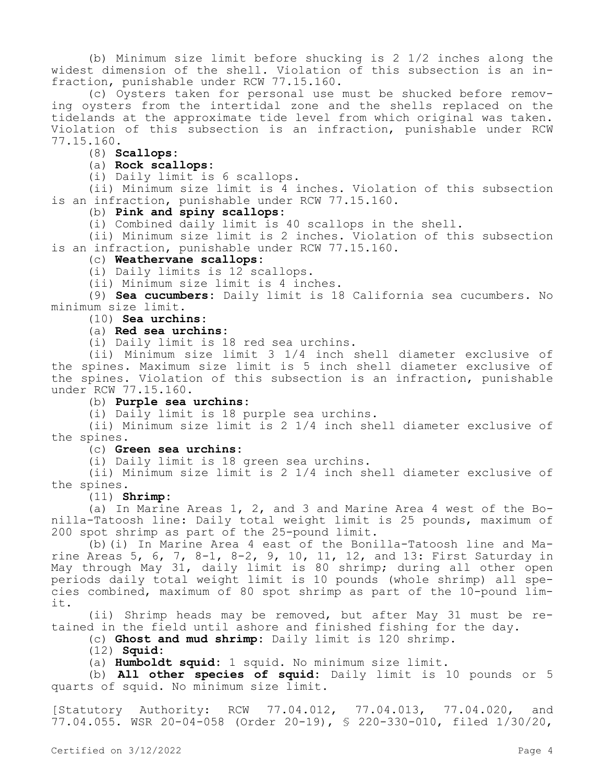(b) Minimum size limit before shucking is 2 1/2 inches along the widest dimension of the shell. Violation of this subsection is an infraction, punishable under RCW 77.15.160.

(c) Oysters taken for personal use must be shucked before removing oysters from the intertidal zone and the shells replaced on the tidelands at the approximate tide level from which original was taken. Violation of this subsection is an infraction, punishable under RCW 77.15.160.

# (8) **Scallops:**

## (a) **Rock scallops:**

(i) Daily limit is 6 scallops.

(ii) Minimum size limit is 4 inches. Violation of this subsection is an infraction, punishable under RCW 77.15.160.

# (b) **Pink and spiny scallops:**

(i) Combined daily limit is 40 scallops in the shell.

(ii) Minimum size limit is 2 inches. Violation of this subsection is an infraction, punishable under RCW 77.15.160.

### (c) **Weathervane scallops:**

(i) Daily limits is 12 scallops.

(ii) Minimum size limit is 4 inches.

(9) **Sea cucumbers:** Daily limit is 18 California sea cucumbers. No minimum size limit.

# (10) **Sea urchins:**

# (a) **Red sea urchins:**

(i) Daily limit is 18 red sea urchins.

(ii) Minimum size limit 3 1/4 inch shell diameter exclusive of the spines. Maximum size limit is 5 inch shell diameter exclusive of the spines. Violation of this subsection is an infraction, punishable under RCW 77.15.160.

# (b) **Purple sea urchins:**

(i) Daily limit is 18 purple sea urchins.

(ii) Minimum size limit is 2 1/4 inch shell diameter exclusive of the spines.

# (c) **Green sea urchins:**

(i) Daily limit is 18 green sea urchins.

(ii) Minimum size limit is 2 1/4 inch shell diameter exclusive of the spines.

#### (11) **Shrimp:**

(a) In Marine Areas 1, 2, and 3 and Marine Area 4 west of the Bonilla-Tatoosh line: Daily total weight limit is 25 pounds, maximum of 200 spot shrimp as part of the 25-pound limit.

(b)(i) In Marine Area 4 east of the Bonilla-Tatoosh line and Marine Areas 5, 6, 7, 8-1, 8-2, 9, 10, 11, 12, and 13: First Saturday in May through May 31, daily limit is 80 shrimp; during all other open periods daily total weight limit is 10 pounds (whole shrimp) all species combined, maximum of 80 spot shrimp as part of the 10-pound limit.

(ii) Shrimp heads may be removed, but after May 31 must be retained in the field until ashore and finished fishing for the day.

(c) **Ghost and mud shrimp:** Daily limit is 120 shrimp.

(12) **Squid:**

(a) **Humboldt squid:** 1 squid. No minimum size limit.

(b) **All other species of squid:** Daily limit is 10 pounds or 5 quarts of squid. No minimum size limit.

[Statutory Authority: RCW 77.04.012, 77.04.013, 77.04.020, and 77.04.055. WSR 20-04-058 (Order 20-19), § 220-330-010, filed 1/30/20,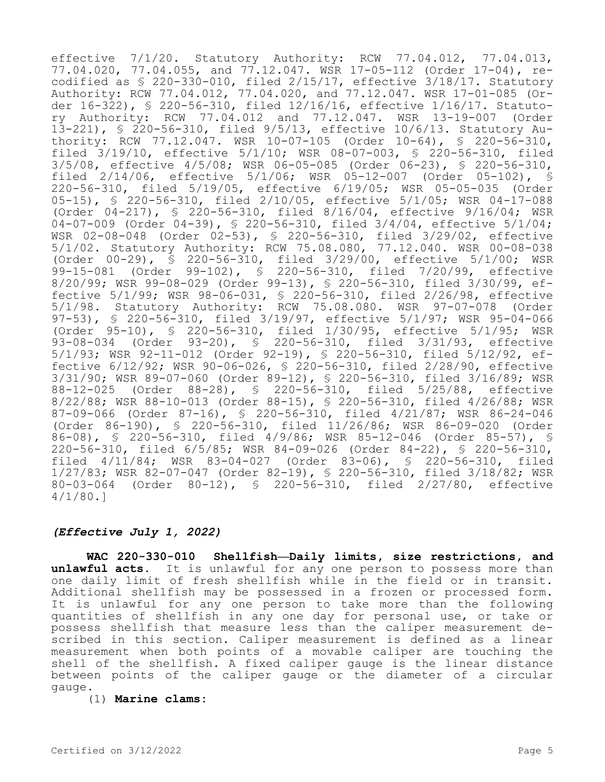effective 7/1/20. Statutory Authority: RCW 77.04.012, 77.04.013, 77.04.020, 77.04.055, and 77.12.047. WSR 17-05-112 (Order 17-04), recodified as § 220-330-010, filed 2/15/17, effective 3/18/17. Statutory Authority: RCW 77.04.012, 77.04.020, and 77.12.047. WSR 17-01-085 (Order 16-322), § 220-56-310, filed 12/16/16, effective 1/16/17. Statutory Authority: RCW 77.04.012 and 77.12.047. WSR 13-19-007 (Order 13-221), § 220-56-310, filed 9/5/13, effective 10/6/13. Statutory Authority: RCW 77.12.047. WSR 10-07-105 (Order 10-64), § 220-56-310, filed 3/19/10, effective 5/1/10; WSR 08-07-003, § 220-56-310, filed 3/5/08, effective 4/5/08; WSR 06-05-085 (Order 06-23), § 220-56-310, filed 2/14/06, effective 5/1/06; WSR 05-12-007 (Order 05-102), § 220-56-310, filed 5/19/05, effective 6/19/05; WSR 05-05-035 (Order 05-15), § 220-56-310, filed 2/10/05, effective 5/1/05; WSR 04-17-088 (Order 04-217), § 220-56-310, filed 8/16/04, effective 9/16/04; WSR 04-07-009 (Order 04-39), § 220-56-310, filed 3/4/04, effective 5/1/04; WSR 02-08-048 (Order 02-53), § 220-56-310, filed 3/29/02, effective 5/1/02. Statutory Authority: RCW 75.08.080, 77.12.040. WSR 00-08-038 (Order 00-29), § 220-56-310, filed 3/29/00, effective 5/1/00; WSR 99-15-081 (Order 99-102), § 220-56-310, filed 7/20/99, effective 8/20/99; WSR 99-08-029 (Order 99-13), § 220-56-310, filed 3/30/99, effective 5/1/99; WSR 98-06-031, § 220-56-310, filed 2/26/98, effective 5/1/98. Statutory Authority: RCW 75.08.080. WSR 97-07-078 (Order 97-53), § 220-56-310, filed 3/19/97, effective 5/1/97; WSR 95-04-066 (Order 95-10), § 220-56-310, filed 1/30/95, effective 5/1/95; WSR 93-08-034 (Order 93-20), § 220-56-310, filed 3/31/93, effective 5/1/93; WSR 92-11-012 (Order 92-19), § 220-56-310, filed 5/12/92, effective 6/12/92; WSR 90-06-026, § 220-56-310, filed 2/28/90, effective 3/31/90; WSR 89-07-060 (Order 89-12), § 220-56-310, filed 3/16/89; WSR 88-12-025 (Order 88-28), § 220-56-310, filed 5/25/88, effective 8/22/88; WSR 88-10-013 (Order 88-15), § 220-56-310, filed 4/26/88; WSR 87-09-066 (Order 87-16), § 220-56-310, filed 4/21/87; WSR 86-24-046 (Order 86-190), § 220-56-310, filed 11/26/86; WSR 86-09-020 (Order 86-08), § 220-56-310, filed 4/9/86; WSR 85-12-046 (Order 85-57), § 220-56-310, filed 6/5/85; WSR 84-09-026 (Order 84-22), § 220-56-310, filed 4/11/84; WSR 83-04-027 (Order 83-06), § 220-56-310, filed 1/27/83; WSR 82-07-047 (Order 82-19), § 220-56-310, filed 3/18/82; WSR 80-03-064 (Order 80-12), § 220-56-310, filed 2/27/80, effective 4/1/80.]

## *(Effective July 1, 2022)*

**WAC 220-330-010 Shellfish—Daily limits, size restrictions, and unlawful acts.** It is unlawful for any one person to possess more than one daily limit of fresh shellfish while in the field or in transit. Additional shellfish may be possessed in a frozen or processed form. It is unlawful for any one person to take more than the following quantities of shellfish in any one day for personal use, or take or possess shellfish that measure less than the caliper measurement described in this section. Caliper measurement is defined as a linear measurement when both points of a movable caliper are touching the shell of the shellfish. A fixed caliper gauge is the linear distance between points of the caliper gauge or the diameter of a circular gauge.

### (1) **Marine clams:**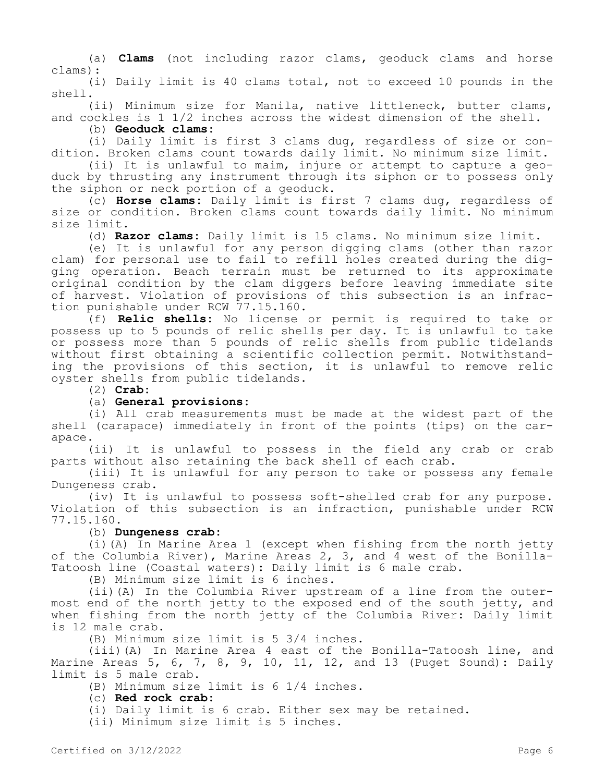(a) **Clams** (not including razor clams, geoduck clams and horse clams):

(i) Daily limit is 40 clams total, not to exceed 10 pounds in the shell.

(ii) Minimum size for Manila, native littleneck, butter clams, and cockles is 1 1/2 inches across the widest dimension of the shell.

### (b) **Geoduck clams:**

(i) Daily limit is first 3 clams dug, regardless of size or condition. Broken clams count towards daily limit. No minimum size limit.

(ii) It is unlawful to maim, injure or attempt to capture a geoduck by thrusting any instrument through its siphon or to possess only the siphon or neck portion of a geoduck.

(c) **Horse clams:** Daily limit is first 7 clams dug, regardless of size or condition. Broken clams count towards daily limit. No minimum size limit.

(d) **Razor clams:** Daily limit is 15 clams. No minimum size limit.

(e) It is unlawful for any person digging clams (other than razor clam) for personal use to fail to refill holes created during the digging operation. Beach terrain must be returned to its approximate original condition by the clam diggers before leaving immediate site of harvest. Violation of provisions of this subsection is an infraction punishable under RCW 77.15.160.

(f) **Relic shells:** No license or permit is required to take or possess up to 5 pounds of relic shells per day. It is unlawful to take or possess more than 5 pounds of relic shells from public tidelands without first obtaining a scientific collection permit. Notwithstanding the provisions of this section, it is unlawful to remove relic oyster shells from public tidelands.

(2) **Crab:**

# (a) **General provisions:**

(i) All crab measurements must be made at the widest part of the shell (carapace) immediately in front of the points (tips) on the carapace.

(ii) It is unlawful to possess in the field any crab or crab parts without also retaining the back shell of each crab.

(iii) It is unlawful for any person to take or possess any female Dungeness crab.

(iv) It is unlawful to possess soft-shelled crab for any purpose. Violation of this subsection is an infraction, punishable under RCW 77.15.160.

### (b) **Dungeness crab:**

(i)(A) In Marine Area 1 (except when fishing from the north jetty of the Columbia River), Marine Areas 2, 3, and 4 west of the Bonilla-Tatoosh line (Coastal waters): Daily limit is 6 male crab.

(B) Minimum size limit is 6 inches.

(ii)(A) In the Columbia River upstream of a line from the outermost end of the north jetty to the exposed end of the south jetty, and when fishing from the north jetty of the Columbia River: Daily limit is 12 male crab.

(B) Minimum size limit is 5 3/4 inches.

(iii)(A) In Marine Area 4 east of the Bonilla-Tatoosh line, and Marine Areas 5, 6, 7, 8, 9, 10, 11, 12, and 13 (Puget Sound): Daily limit is 5 male crab.

(B) Minimum size limit is 6 1/4 inches.

(c) **Red rock crab:**

(i) Daily limit is 6 crab. Either sex may be retained.

(ii) Minimum size limit is 5 inches.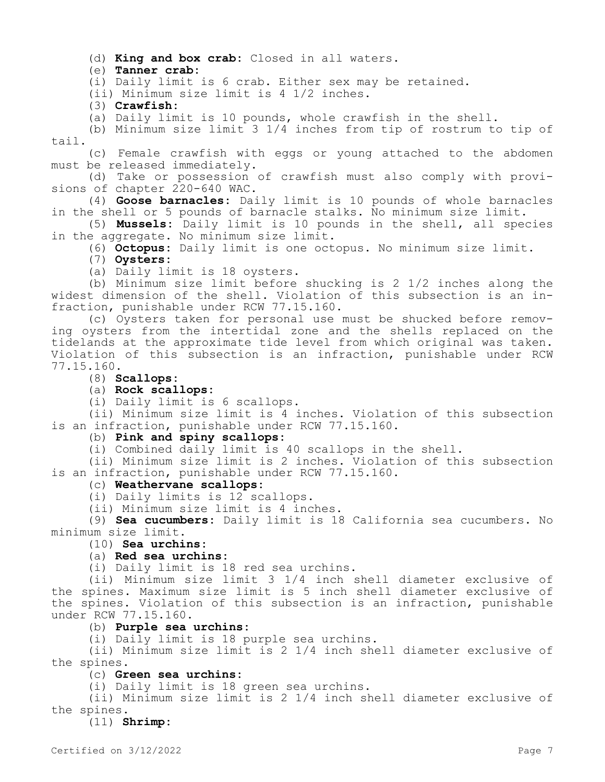(d) **King and box crab:** Closed in all waters.

(e) **Tanner crab:**

(i) Daily limit is 6 crab. Either sex may be retained.

(ii) Minimum size limit is 4 1/2 inches.

(3) **Crawfish:**

(a) Daily limit is 10 pounds, whole crawfish in the shell.

(b) Minimum size limit 3 1/4 inches from tip of rostrum to tip of tail.

(c) Female crawfish with eggs or young attached to the abdomen must be released immediately.

(d) Take or possession of crawfish must also comply with provisions of chapter 220-640 WAC.

(4) **Goose barnacles:** Daily limit is 10 pounds of whole barnacles in the shell or 5 pounds of barnacle stalks. No minimum size limit.

(5) **Mussels:** Daily limit is 10 pounds in the shell, all species in the aggregate. No minimum size limit.

(6) **Octopus:** Daily limit is one octopus. No minimum size limit.

(7) **Oysters:**

(a) Daily limit is 18 oysters.

(b) Minimum size limit before shucking is 2 1/2 inches along the widest dimension of the shell. Violation of this subsection is an infraction, punishable under RCW 77.15.160.

(c) Oysters taken for personal use must be shucked before removing oysters from the intertidal zone and the shells replaced on the tidelands at the approximate tide level from which original was taken. Violation of this subsection is an infraction, punishable under RCW 77.15.160.

(8) **Scallops:**

(a) **Rock scallops:**

(i) Daily limit is 6 scallops.

(ii) Minimum size limit is 4 inches. Violation of this subsection is an infraction, punishable under RCW 77.15.160.

### (b) **Pink and spiny scallops:**

(i) Combined daily limit is 40 scallops in the shell.

(ii) Minimum size limit is 2 inches. Violation of this subsection is an infraction, punishable under RCW 77.15.160.

#### (c) **Weathervane scallops:**

(i) Daily limits is 12 scallops.

(ii) Minimum size limit is 4 inches.

(9) **Sea cucumbers:** Daily limit is 18 California sea cucumbers. No minimum size limit.

# (10) **Sea urchins:**

### (a) **Red sea urchins:**

(i) Daily limit is 18 red sea urchins.

(ii) Minimum size limit 3 1/4 inch shell diameter exclusive of the spines. Maximum size limit is 5 inch shell diameter exclusive of the spines. Violation of this subsection is an infraction, punishable under RCW 77.15.160.

### (b) **Purple sea urchins:**

(i) Daily limit is 18 purple sea urchins.

(ii) Minimum size limit is 2 1/4 inch shell diameter exclusive of the spines.

### (c) **Green sea urchins:**

(i) Daily limit is 18 green sea urchins.

(ii) Minimum size limit is 2 1/4 inch shell diameter exclusive of the spines.

(11) **Shrimp:**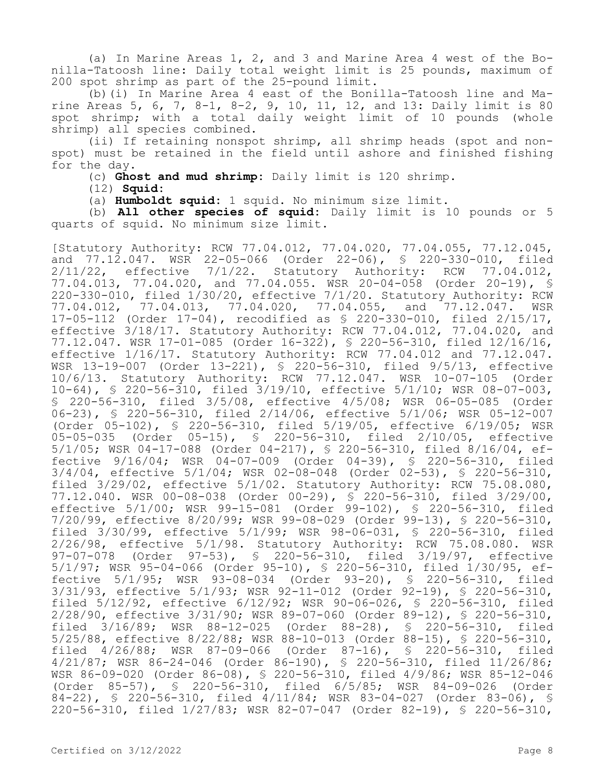(a) In Marine Areas 1, 2, and 3 and Marine Area 4 west of the Bonilla-Tatoosh line: Daily total weight limit is 25 pounds, maximum of 200 spot shrimp as part of the 25-pound limit.

(b)(i) In Marine Area 4 east of the Bonilla-Tatoosh line and Marine Areas 5, 6, 7, 8-1, 8-2, 9, 10, 11, 12, and 13: Daily limit is 80 spot shrimp; with a total daily weight limit of 10 pounds (whole shrimp) all species combined.

(ii) If retaining nonspot shrimp, all shrimp heads (spot and nonspot) must be retained in the field until ashore and finished fishing for the day.

(c) **Ghost and mud shrimp:** Daily limit is 120 shrimp.

(12) **Squid:**

(a) **Humboldt squid:** 1 squid. No minimum size limit.

(b) **All other species of squid:** Daily limit is 10 pounds or 5 quarts of squid. No minimum size limit.

[Statutory Authority: RCW 77.04.012, 77.04.020, 77.04.055, 77.12.045, and 77.12.047. WSR 22-05-066 (Order 22-06), § 220-330-010, filed 2/11/22, effective 7/1/22. Statutory Authority: RCW 77.04.012, 77.04.013, 77.04.020, and 77.04.055. WSR 20-04-058 (Order 20-19), § 220-330-010, filed 1/30/20, effective 7/1/20. Statutory Authority: RCW<br>77.04.012, 77.04.013, 77.04.020, 77.04.055, and 77.12.047. WSR 77.04.013, 77.04.020, 77.04.055, and 77.12.047. WSR 17-05-112 (Order 17-04), recodified as § 220-330-010, filed 2/15/17, effective 3/18/17. Statutory Authority: RCW 77.04.012, 77.04.020, and 77.12.047. WSR 17-01-085 (Order 16-322), § 220-56-310, filed 12/16/16, effective 1/16/17. Statutory Authority: RCW 77.04.012 and 77.12.047. WSR 13-19-007 (Order 13-221), § 220-56-310, filed 9/5/13, effective 10/6/13. Statutory Authority: RCW 77.12.047. WSR 10-07-105 (Order 10-64), § 220-56-310, filed 3/19/10, effective 5/1/10; WSR 08-07-003, § 220-56-310, filed 3/5/08, effective 4/5/08; WSR 06-05-085 (Order 06-23), § 220-56-310, filed 2/14/06, effective 5/1/06; WSR 05-12-007 (Order 05-102), § 220-56-310, filed 5/19/05, effective 6/19/05; WSR 05-05-035 (Order 05-15), § 220-56-310, filed 2/10/05, effective 5/1/05; WSR 04-17-088 (Order 04-217), § 220-56-310, filed 8/16/04, effective 9/16/04; WSR 04-07-009 (Order 04-39), § 220-56-310, filed 3/4/04, effective 5/1/04; WSR 02-08-048 (Order 02-53), § 220-56-310, filed 3/29/02, effective 5/1/02. Statutory Authority: RCW 75.08.080, 77.12.040. WSR 00-08-038 (Order 00-29), § 220-56-310, filed 3/29/00, effective 5/1/00; WSR 99-15-081 (Order 99-102), § 220-56-310, filed 7/20/99, effective 8/20/99; WSR 99-08-029 (Order 99-13), § 220-56-310, filed 3/30/99, effective 5/1/99; WSR 98-06-031, § 220-56-310, filed 2/26/98, effective 5/1/98. Statutory Authority: RCW 75.08.080. WSR 97-07-078 (Order 97-53), § 220-56-310, filed 3/19/97, effective 5/1/97; WSR 95-04-066 (Order 95-10), § 220-56-310, filed 1/30/95, effective 5/1/95; WSR 93-08-034 (Order 93-20), § 220-56-310, filed 3/31/93, effective 5/1/93; WSR 92-11-012 (Order 92-19), § 220-56-310, filed 5/12/92, effective 6/12/92; WSR 90-06-026, § 220-56-310, filed 2/28/90, effective 3/31/90; WSR 89-07-060 (Order 89-12), § 220-56-310, filed 3/16/89; WSR 88-12-025 (Order 88-28), § 220-56-310, filed 5/25/88, effective 8/22/88; WSR 88-10-013 (Order 88-15), § 220-56-310, filed 4/26/88; WSR 87-09-066 (Order 87-16), § 220-56-310, filed 4/21/87; WSR 86-24-046 (Order 86-190), § 220-56-310, filed 11/26/86; WSR 86-09-020 (Order 86-08), § 220-56-310, filed 4/9/86; WSR 85-12-046 (Order 85-57), § 220-56-310, filed 6/5/85; WSR 84-09-026 (Order 84-22), § 220-56-310, filed 4/11/84; WSR 83-04-027 (Order 83-06), § 220-56-310, filed 1/27/83; WSR 82-07-047 (Order 82-19), § 220-56-310,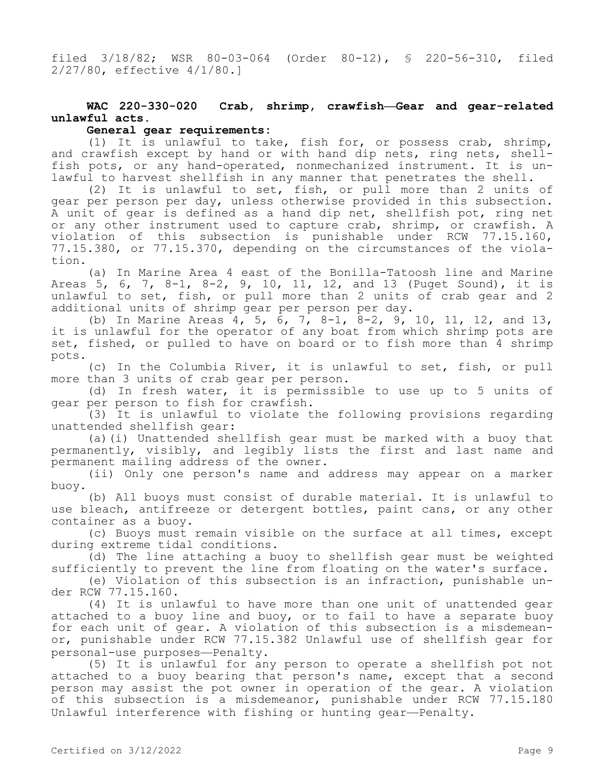filed 3/18/82; WSR 80-03-064 (Order 80-12), § 220-56-310, filed 2/27/80, effective 4/1/80.]

# **WAC 220-330-020 Crab, shrimp, crawfish—Gear and gear-related unlawful acts.**

# **General gear requirements:**

(1) It is unlawful to take, fish for, or possess crab, shrimp, and crawfish except by hand or with hand dip nets, ring nets, shellfish pots, or any hand-operated, nonmechanized instrument. It is unlawful to harvest shellfish in any manner that penetrates the shell.

(2) It is unlawful to set, fish, or pull more than 2 units of gear per person per day, unless otherwise provided in this subsection. A unit of gear is defined as a hand dip net, shellfish pot, ring net or any other instrument used to capture crab, shrimp, or crawfish. A violation of this subsection is punishable under RCW 77.15.160, 77.15.380, or 77.15.370, depending on the circumstances of the violation.

(a) In Marine Area 4 east of the Bonilla-Tatoosh line and Marine Areas 5, 6, 7, 8-1, 8-2, 9, 10, 11, 12, and 13 (Puget Sound), it is unlawful to set, fish, or pull more than 2 units of crab gear and 2 additional units of shrimp gear per person per day.

(b) In Marine Areas 4, 5, 6, 7, 8-1, 8-2, 9, 10, 11, 12, and 13, it is unlawful for the operator of any boat from which shrimp pots are set, fished, or pulled to have on board or to fish more than 4 shrimp pots.

(c) In the Columbia River, it is unlawful to set, fish, or pull more than 3 units of crab gear per person.

(d) In fresh water, it is permissible to use up to 5 units of gear per person to fish for crawfish.

(3) It is unlawful to violate the following provisions regarding unattended shellfish gear:

(a)(i) Unattended shellfish gear must be marked with a buoy that permanently, visibly, and legibly lists the first and last name and permanent mailing address of the owner.

(ii) Only one person's name and address may appear on a marker buoy.

(b) All buoys must consist of durable material. It is unlawful to use bleach, antifreeze or detergent bottles, paint cans, or any other container as a buoy.

(c) Buoys must remain visible on the surface at all times, except during extreme tidal conditions.

(d) The line attaching a buoy to shellfish gear must be weighted sufficiently to prevent the line from floating on the water's surface.

(e) Violation of this subsection is an infraction, punishable under RCW 77.15.160.

(4) It is unlawful to have more than one unit of unattended gear attached to a buoy line and buoy, or to fail to have a separate buoy for each unit of gear. A violation of this subsection is a misdemeanor, punishable under RCW 77.15.382 Unlawful use of shellfish gear for personal-use purposes—Penalty.

(5) It is unlawful for any person to operate a shellfish pot not attached to a buoy bearing that person's name, except that a second person may assist the pot owner in operation of the gear. A violation of this subsection is a misdemeanor, punishable under RCW 77.15.180 Unlawful interference with fishing or hunting gear—Penalty.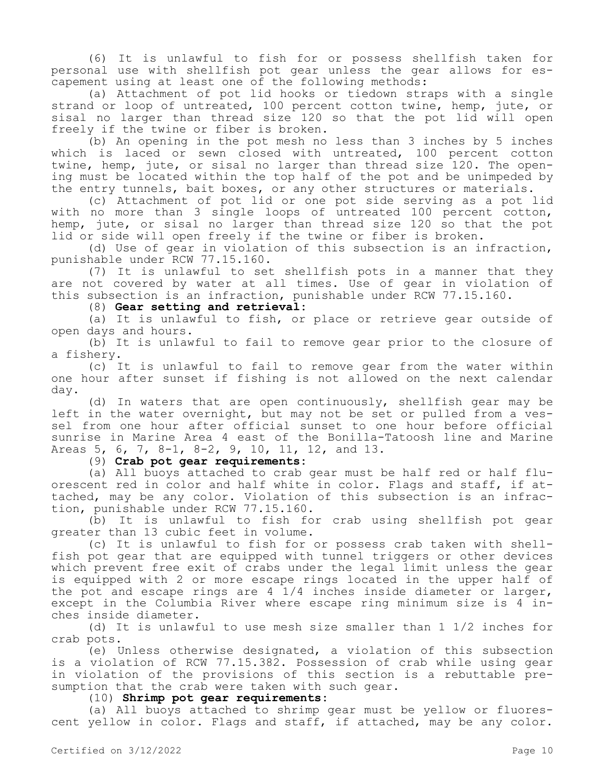(6) It is unlawful to fish for or possess shellfish taken for personal use with shellfish pot gear unless the gear allows for escapement using at least one of the following methods:

(a) Attachment of pot lid hooks or tiedown straps with a single strand or loop of untreated, 100 percent cotton twine, hemp, jute, or sisal no larger than thread size 120 so that the pot lid will open freely if the twine or fiber is broken.

(b) An opening in the pot mesh no less than 3 inches by 5 inches which is laced or sewn closed with untreated, 100 percent cotton twine, hemp, jute, or sisal no larger than thread size 120. The opening must be located within the top half of the pot and be unimpeded by the entry tunnels, bait boxes, or any other structures or materials.

(c) Attachment of pot lid or one pot side serving as a pot lid with no more than 3 single loops of untreated 100 percent cotton, hemp, jute, or sisal no larger than thread size 120 so that the pot lid or side will open freely if the twine or fiber is broken.

(d) Use of gear in violation of this subsection is an infraction, punishable under RCW 77.15.160.

(7) It is unlawful to set shellfish pots in a manner that they are not covered by water at all times. Use of gear in violation of this subsection is an infraction, punishable under RCW 77.15.160.

(8) **Gear setting and retrieval:**

(a) It is unlawful to fish, or place or retrieve gear outside of open days and hours.

(b) It is unlawful to fail to remove gear prior to the closure of a fishery.

(c) It is unlawful to fail to remove gear from the water within one hour after sunset if fishing is not allowed on the next calendar day.

(d) In waters that are open continuously, shellfish gear may be left in the water overnight, but may not be set or pulled from a vessel from one hour after official sunset to one hour before official sunrise in Marine Area 4 east of the Bonilla-Tatoosh line and Marine Areas 5, 6, 7, 8-1, 8-2, 9, 10, 11, 12, and 13.

(9) **Crab pot gear requirements:**

(a) All buoys attached to crab gear must be half red or half fluorescent red in color and half white in color. Flags and staff, if attached, may be any color. Violation of this subsection is an infraction, punishable under RCW 77.15.160.

(b) It is unlawful to fish for crab using shellfish pot gear greater than 13 cubic feet in volume.

(c) It is unlawful to fish for or possess crab taken with shellfish pot gear that are equipped with tunnel triggers or other devices which prevent free exit of crabs under the legal limit unless the gear is equipped with 2 or more escape rings located in the upper half of the pot and escape rings are 4 1/4 inches inside diameter or larger, except in the Columbia River where escape ring minimum size is 4 inches inside diameter.

(d) It is unlawful to use mesh size smaller than 1 1/2 inches for crab pots.

(e) Unless otherwise designated, a violation of this subsection is a violation of RCW 77.15.382. Possession of crab while using gear in violation of the provisions of this section is a rebuttable presumption that the crab were taken with such gear.

(10) **Shrimp pot gear requirements:**

(a) All buoys attached to shrimp gear must be yellow or fluorescent yellow in color. Flags and staff, if attached, may be any color.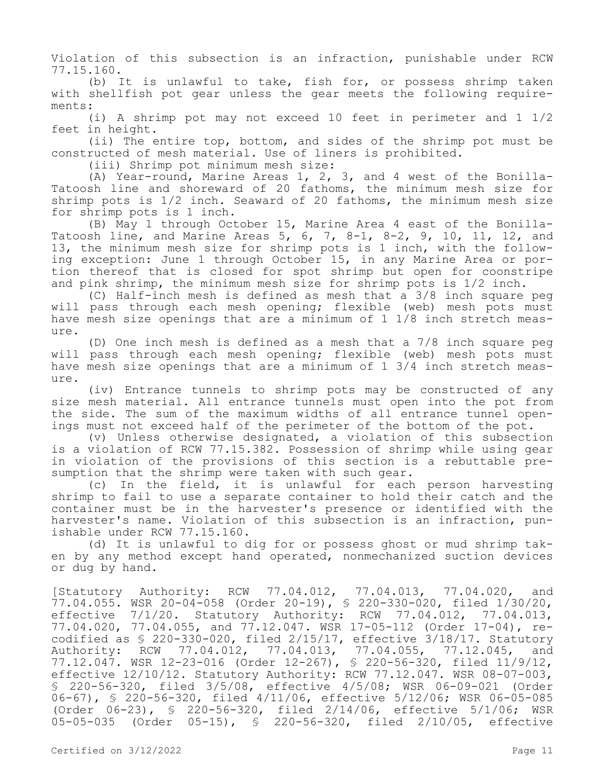Violation of this subsection is an infraction, punishable under RCW 77.15.160.

(b) It is unlawful to take, fish for, or possess shrimp taken with shellfish pot gear unless the gear meets the following requirements:

(i) A shrimp pot may not exceed 10 feet in perimeter and 1 1/2 feet in height.

(ii) The entire top, bottom, and sides of the shrimp pot must be constructed of mesh material. Use of liners is prohibited.

(iii) Shrimp pot minimum mesh size:

(A) Year-round, Marine Areas 1, 2, 3, and 4 west of the Bonilla-Tatoosh line and shoreward of 20 fathoms, the minimum mesh size for shrimp pots is 1/2 inch. Seaward of 20 fathoms, the minimum mesh size for shrimp pots is 1 inch.

(B) May 1 through October 15, Marine Area 4 east of the Bonilla-Tatoosh line, and Marine Areas 5, 6, 7, 8-1, 8-2, 9, 10, 11, 12, and 13, the minimum mesh size for shrimp pots is 1 inch, with the following exception: June 1 through October 15, in any Marine Area or portion thereof that is closed for spot shrimp but open for coonstripe and pink shrimp, the minimum mesh size for shrimp pots is 1/2 inch.

(C) Half-inch mesh is defined as mesh that a 3/8 inch square peg will pass through each mesh opening; flexible (web) mesh pots must have mesh size openings that are a minimum of 1 1/8 inch stretch meas- $\ln r \approx$ .

(D) One inch mesh is defined as a mesh that a 7/8 inch square peg will pass through each mesh opening; flexible (web) mesh pots must have mesh size openings that are a minimum of 1 3/4 inch stretch measure.

(iv) Entrance tunnels to shrimp pots may be constructed of any size mesh material. All entrance tunnels must open into the pot from the side. The sum of the maximum widths of all entrance tunnel openings must not exceed half of the perimeter of the bottom of the pot.

(v) Unless otherwise designated, a violation of this subsection is a violation of RCW 77.15.382. Possession of shrimp while using gear in violation of the provisions of this section is a rebuttable presumption that the shrimp were taken with such gear.

(c) In the field, it is unlawful for each person harvesting shrimp to fail to use a separate container to hold their catch and the container must be in the harvester's presence or identified with the harvester's name. Violation of this subsection is an infraction, punishable under RCW 77.15.160.

(d) It is unlawful to dig for or possess ghost or mud shrimp taken by any method except hand operated, nonmechanized suction devices or dug by hand.

[Statutory Authority: RCW 77.04.012, 77.04.013, 77.04.020, and 77.04.055. WSR 20-04-058 (Order 20-19), § 220-330-020, filed 1/30/20, effective 7/1/20. Statutory Authority: RCW 77.04.012, 77.04.013, 77.04.020, 77.04.055, and 77.12.047. WSR 17-05-112 (Order 17-04), recodified as § 220-330-020, filed 2/15/17, effective 3/18/17. Statutory Authority: RCW 77.04.012, 77.04.013, 77.04.055, 77.12.045, and 77.12.047. WSR 12-23-016 (Order 12-267), § 220-56-320, filed 11/9/12, effective 12/10/12. Statutory Authority: RCW 77.12.047. WSR 08-07-003, § 220-56-320, filed 3/5/08, effective 4/5/08; WSR 06-09-021 (Order 06-67), § 220-56-320, filed 4/11/06, effective 5/12/06; WSR 06-05-085 (Order 06-23), § 220-56-320, filed 2/14/06, effective 5/1/06; WSR 05-05-035 (Order 05-15), § 220-56-320, filed 2/10/05, effective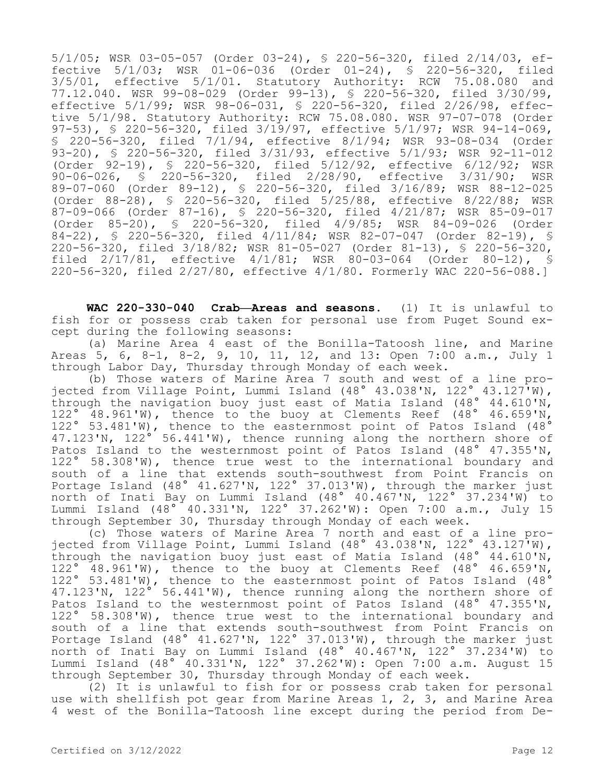5/1/05; WSR 03-05-057 (Order 03-24), § 220-56-320, filed 2/14/03, effective 5/1/03; WSR 01-06-036 (Order 01-24), § 220-56-320, filed 3/5/01, effective 5/1/01. Statutory Authority: RCW 75.08.080 and 77.12.040. WSR 99-08-029 (Order 99-13), § 220-56-320, filed 3/30/99, effective 5/1/99; WSR 98-06-031, § 220-56-320, filed 2/26/98, effective 5/1/98. Statutory Authority: RCW 75.08.080. WSR 97-07-078 (Order 97-53), § 220-56-320, filed 3/19/97, effective 5/1/97; WSR 94-14-069, § 220-56-320, filed 7/1/94, effective 8/1/94; WSR 93-08-034 (Order 93-20), § 220-56-320, filed 3/31/93, effective 5/1/93; WSR 92-11-012 (Order 92-19), § 220-56-320, filed 5/12/92, effective 6/12/92; WSR 90-06-026, § 220-56-320, filed 2/28/90, effective 3/31/90; WSR 89-07-060 (Order 89-12), § 220-56-320, filed 3/16/89; WSR 88-12-025 (Order 88-28), § 220-56-320, filed 5/25/88, effective 8/22/88; WSR 87-09-066 (Order 87-16), § 220-56-320, filed 4/21/87; WSR 85-09-017 (Order 85-20), § 220-56-320, filed 4/9/85; WSR 84-09-026 (Order 84-22), § 220-56-320, filed 4/11/84; WSR 82-07-047 (Order 82-19), § 220-56-320, filed 3/18/82; WSR 81-05-027 (Order 81-13), § 220-56-320, filed 2/17/81, effective 4/1/81; WSR 80-03-064 (Order 80-12), § 220-56-320, filed 2/27/80, effective 4/1/80. Formerly WAC 220-56-088.]

**WAC 220-330-040 Crab—Areas and seasons.** (1) It is unlawful to fish for or possess crab taken for personal use from Puget Sound except during the following seasons:

(a) Marine Area 4 east of the Bonilla-Tatoosh line, and Marine Areas 5, 6, 8-1, 8-2, 9, 10, 11, 12, and 13: Open 7:00 a.m., July 1 through Labor Day, Thursday through Monday of each week.

(b) Those waters of Marine Area 7 south and west of a line projected from Village Point, Lummi Island (48° 43.038'N, 122° 43.127'W), through the navigation buoy just east of Matia Island (48° 44.610'N, 48.961'W), thence to the buoy at Clements Reef  $(48° 46.659'N,$ 122° 53.481'W), thence to the easternmost point of Patos Island (48° 47.123'N, 122° 56.441'W), thence running along the northern shore of Patos Island to the westernmost point of Patos Island (48° 47.355'N, 122° 58.308'W), thence true west to the international boundary and south of a line that extends south-southwest from Point Francis on Portage Island (48° 41.627'N, 122° 37.013'W), through the marker just north of Inati Bay on Lummi Island (48° 40.467'N, 122° 37.234'W) to Lummi Island (48° 40.331'N, 122° 37.262'W): Open 7:00 a.m., July 15 through September 30, Thursday through Monday of each week.

(c) Those waters of Marine Area 7 north and east of a line projected from Village Point, Lummi Island (48° 43.038'N, 122° 43.127'W), through the navigation buoy just east of Matia Island (48° 44.610'N, 122° 48.961'W), thence to the buoy at Clements Reef (48° 46.659'N, 122° 53.481'W), thence to the easternmost point of Patos Island (48° 47.123'N, 122° 56.441'W), thence running along the northern shore of Patos Island to the westernmost point of Patos Island (48° 47.355'N, 122° 58.308'W), thence true west to the international boundary and south of a line that extends south-southwest from Point Francis on Portage Island (48° 41.627'N, 122° 37.013'W), through the marker just north of Inati Bay on Lummi Island (48° 40.467'N, 122° 37.234'W) to Lummi Island (48° 40.331'N, 122° 37.262'W): Open 7:00 a.m. August 15 through September 30, Thursday through Monday of each week.

(2) It is unlawful to fish for or possess crab taken for personal use with shellfish pot gear from Marine Areas 1, 2, 3, and Marine Area 4 west of the Bonilla-Tatoosh line except during the period from De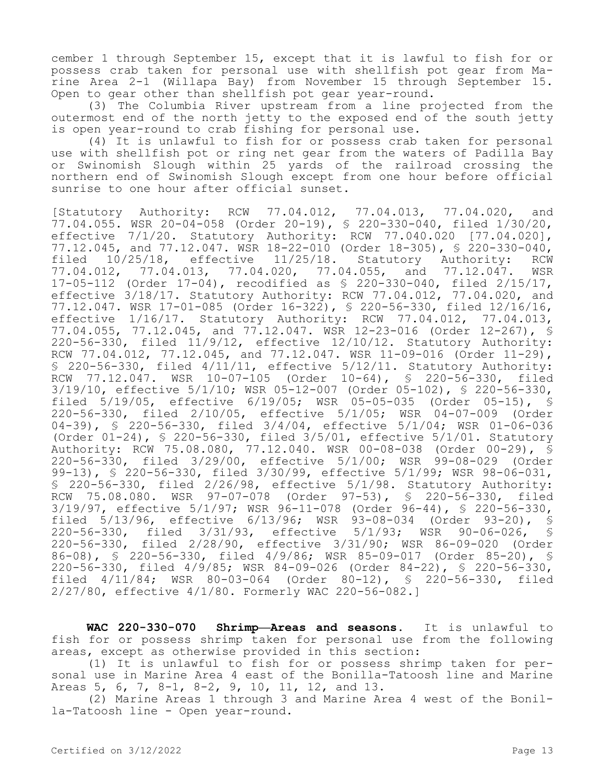cember 1 through September 15, except that it is lawful to fish for or possess crab taken for personal use with shellfish pot gear from Marine Area 2-1 (Willapa Bay) from November 15 through September 15. Open to gear other than shellfish pot gear year-round.

(3) The Columbia River upstream from a line projected from the outermost end of the north jetty to the exposed end of the south jetty is open year-round to crab fishing for personal use.

(4) It is unlawful to fish for or possess crab taken for personal use with shellfish pot or ring net gear from the waters of Padilla Bay or Swinomish Slough within 25 yards of the railroad crossing the northern end of Swinomish Slough except from one hour before official sunrise to one hour after official sunset.

[Statutory Authority: RCW 77.04.012, 77.04.013, 77.04.020, and 77.04.055. WSR 20-04-058 (Order 20-19), § 220-330-040, filed 1/30/20, effective 7/1/20. Statutory Authority: RCW 77.040.020 [77.04.020], 77.12.045, and 77.12.047. WSR 18-22-010 (Order 18-305), § 220-330-040, filed 10/25/18, effective 11/25/18. Statutory Authority: RCW 77.04.012, 77.04.013, 77.04.020, 77.04.055, and 77.12.047. WSR 17-05-112 (Order 17-04), recodified as § 220-330-040, filed 2/15/17, effective 3/18/17. Statutory Authority: RCW 77.04.012, 77.04.020, and 77.12.047. WSR 17-01-085 (Order 16-322), § 220-56-330, filed 12/16/16, effective 1/16/17. Statutory Authority: RCW 77.04.012, 77.04.013, 77.04.055, 77.12.045, and 77.12.047. WSR 12-23-016 (Order 12-267), § 220-56-330, filed 11/9/12, effective 12/10/12. Statutory Authority: RCW 77.04.012, 77.12.045, and 77.12.047. WSR 11-09-016 (Order 11-29), § 220-56-330, filed 4/11/11, effective 5/12/11. Statutory Authority: RCW 77.12.047. WSR 10-07-105 (Order 10-64), § 220-56-330, filed 3/19/10, effective 5/1/10; WSR 05-12-007 (Order 05-102), § 220-56-330, filed 5/19/05, effective 6/19/05; WSR 05-05-035 (Order 05-15), § 220-56-330, filed 2/10/05, effective 5/1/05; WSR 04-07-009 (Order 04-39), § 220-56-330, filed 3/4/04, effective 5/1/04; WSR 01-06-036 (Order 01-24), § 220-56-330, filed 3/5/01, effective 5/1/01. Statutory Authority: RCW 75.08.080, 77.12.040. WSR 00-08-038 (Order 00-29), § 220-56-330, filed 3/29/00, effective 5/1/00; WSR 99-08-029 (Order 99-13), § 220-56-330, filed 3/30/99, effective 5/1/99; WSR 98-06-031, § 220-56-330, filed 2/26/98, effective 5/1/98. Statutory Authority: RCW 75.08.080. WSR 97-07-078 (Order 97-53), § 220-56-330, filed 3/19/97, effective 5/1/97; WSR 96-11-078 (Order 96-44), § 220-56-330, filed 5/13/96, effective 6/13/96; WSR 93-08-034 (Order 93-20), § 220-56-330, filed 3/31/93, effective 220-56-330, filed 2/28/90, effective 3/31/90; WSR 86-09-020 (Order 86-08), § 220-56-330, filed 4/9/86; WSR 85-09-017 (Order 85-20), § 220-56-330, filed 4/9/85; WSR 84-09-026 (Order 84-22), § 220-56-330, filed 4/11/84; WSR 80-03-064 (Order 80-12), § 220-56-330, filed 2/27/80, effective 4/1/80. Formerly WAC 220-56-082.]

**WAC 220-330-070 Shrimp—Areas and seasons.** It is unlawful to fish for or possess shrimp taken for personal use from the following areas, except as otherwise provided in this section:

(1) It is unlawful to fish for or possess shrimp taken for personal use in Marine Area 4 east of the Bonilla-Tatoosh line and Marine Areas 5, 6, 7, 8-1, 8-2, 9, 10, 11, 12, and 13.

(2) Marine Areas 1 through 3 and Marine Area 4 west of the Bonilla-Tatoosh line - Open year-round.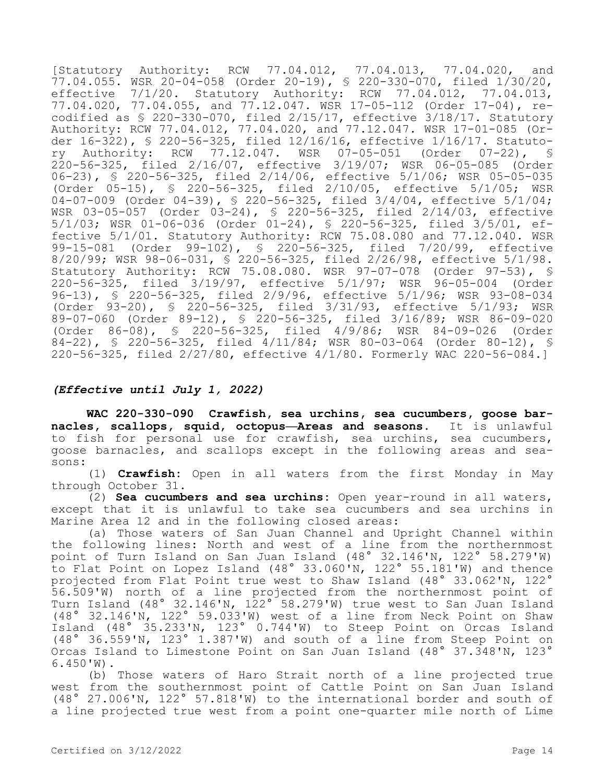[Statutory Authority: RCW 77.04.012, 77.04.013, 77.04.020, and 77.04.055. WSR 20-04-058 (Order 20-19), § 220-330-070, filed 1/30/20, effective 7/1/20. Statutory Authority: RCW 77.04.012, 77.04.013, 77.04.020, 77.04.055, and 77.12.047. WSR 17-05-112 (Order 17-04), recodified as § 220-330-070, filed 2/15/17, effective 3/18/17. Statutory Authority: RCW 77.04.012, 77.04.020, and 77.12.047. WSR 17-01-085 (Order 16-322), § 220-56-325, filed 12/16/16, effective 1/16/17. Statutory Authority: RCW 77.12.047. WSR 07-05-051 (Order 07-22), § 220-56-325, filed 2/16/07, effective 3/19/07; WSR 06-05-085 (Order 06-23), § 220-56-325, filed 2/14/06, effective 5/1/06; WSR 05-05-035 (Order 05-15), § 220-56-325, filed 2/10/05, effective 5/1/05; WSR 04-07-009 (Order 04-39), § 220-56-325, filed  $3/4/04$ , effective 5/1/04; WSR 03-05-057 (Order 03-24), § 220-56-325, filed 2/14/03, effective 5/1/03; WSR 01-06-036 (Order 01-24), § 220-56-325, filed 3/5/01, effective 5/1/01. Statutory Authority: RCW 75.08.080 and 77.12.040. WSR 99-15-081 (Order 99-102), § 220-56-325, filed 7/20/99, effective 8/20/99; WSR 98-06-031, § 220-56-325, filed 2/26/98, effective 5/1/98. Statutory Authority: RCW 75.08.080. WSR 97-07-078 (Order 97-53), § 220-56-325, filed 3/19/97, effective 5/1/97; WSR 96-05-004 (Order 96-13), § 220-56-325, filed 2/9/96, effective 5/1/96; WSR 93-08-034 (Order 93-20), § 220-56-325, filed 3/31/93, effective 5/1/93; WSR 89-07-060 (Order 89-12), § 220-56-325, filed 3/16/89; WSR 86-09-020 (Order 86-08), § 220-56-325, filed 4/9/86; WSR 84-09-026 (Order 84-22), § 220-56-325, filed 4/11/84; WSR 80-03-064 (Order 80-12), § 220-56-325, filed 2/27/80, effective 4/1/80. Formerly WAC 220-56-084.]

# *(Effective until July 1, 2022)*

**WAC 220-330-090 Crawfish, sea urchins, sea cucumbers, goose barnacles, scallops, squid, octopus—Areas and seasons.** It is unlawful to fish for personal use for crawfish, sea urchins, sea cucumbers, goose barnacles, and scallops except in the following areas and seasons:

(1) **Crawfish:** Open in all waters from the first Monday in May through October 31.

(2) **Sea cucumbers and sea urchins:** Open year-round in all waters, except that it is unlawful to take sea cucumbers and sea urchins in Marine Area 12 and in the following closed areas:

(a) Those waters of San Juan Channel and Upright Channel within the following lines: North and west of a line from the northernmost point of Turn Island on San Juan Island (48° 32.146'N, 122° 58.279'W) to Flat Point on Lopez Island (48° 33.060'N, 122° 55.181'W) and thence projected from Flat Point true west to Shaw Island (48° 33.062'N, 122° 56.509'W) north of a line projected from the northernmost point of Turn Island (48° 32.146'N, 122° 58.279'W) true west to San Juan Island (48° 32.146'N, 122° 59.033'W) west of a line from Neck Point on Shaw Island (48° 35.233'N, 123° 0.744'W) to Steep Point on Orcas Island (48° 36.559'N, 123° 1.387'W) and south of a line from Steep Point on Orcas Island to Limestone Point on San Juan Island (48° 37.348'N, 123° 6.450'W).

(b) Those waters of Haro Strait north of a line projected true west from the southernmost point of Cattle Point on San Juan Island (48° 27.006'N, 122° 57.818'W) to the international border and south of a line projected true west from a point one-quarter mile north of Lime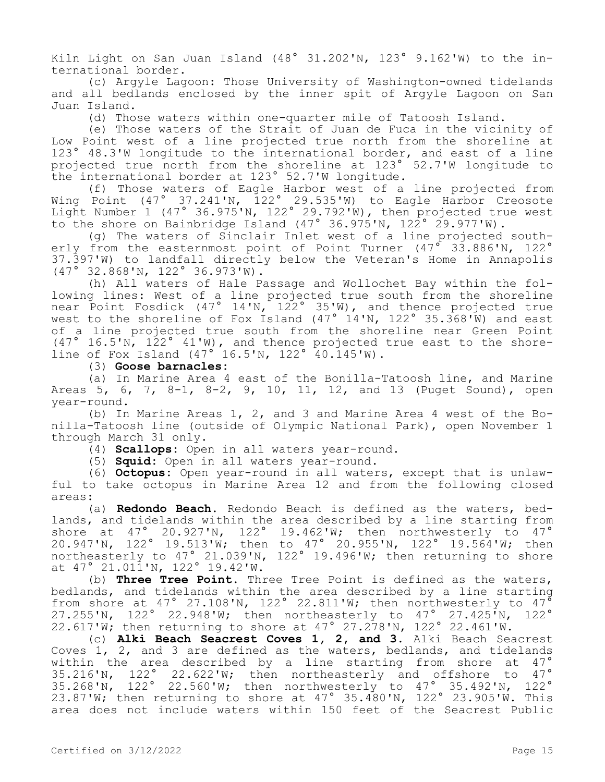Kiln Light on San Juan Island (48° 31.202'N, 123° 9.162'W) to the international border.

(c) Argyle Lagoon: Those University of Washington-owned tidelands and all bedlands enclosed by the inner spit of Argyle Lagoon on San Juan Island.

(d) Those waters within one-quarter mile of Tatoosh Island.

(e) Those waters of the Strait of Juan de Fuca in the vicinity of Low Point west of a line projected true north from the shoreline at 123° 48.3'W longitude to the international border, and east of a line projected true north from the shoreline at 123° 52.7'W longitude to the international border at 123° 52.7'W longitude.

(f) Those waters of Eagle Harbor west of a line projected from Wing Point (47° 37.241'N, 122° 29.535'W) to Eagle Harbor Creosote Light Number 1 (47° 36.975'N, 122° 29.792'W), then projected true west to the shore on Bainbridge Island (47° 36.975'N, 122° 29.977'W).

(g) The waters of Sinclair Inlet west of a line projected southerly from the easternmost point of Point Turner (47° 33.886'N, 122° 37.397'W) to landfall directly below the Veteran's Home in Annapolis (47° 32.868'N, 122° 36.973'W).

(h) All waters of Hale Passage and Wollochet Bay within the following lines: West of a line projected true south from the shoreline near Point Fosdick (47° 14'N, 122° 35'W), and thence projected true west to the shoreline of Fox Island (47 $^{\circ}$  14'N, 122 $^{\circ}$  35.368'W) and east of a line projected true south from the shoreline near Green Point (47° 16.5'N, 122° 41'W), and thence projected true east to the shoreline of Fox Island (47° 16.5'N, 122° 40.145'W).

## (3) **Goose barnacles:**

(a) In Marine Area 4 east of the Bonilla-Tatoosh line, and Marine Areas 5, 6, 7, 8-1, 8-2, 9, 10, 11, 12, and 13 (Puget Sound), open year-round.

(b) In Marine Areas 1, 2, and 3 and Marine Area 4 west of the Bonilla-Tatoosh line (outside of Olympic National Park), open November 1 through March 31 only.

(4) **Scallops:** Open in all waters year-round.

(5) **Squid:** Open in all waters year-round.

(6) **Octopus:** Open year-round in all waters, except that is unlawful to take octopus in Marine Area 12 and from the following closed areas:

(a) **Redondo Beach.** Redondo Beach is defined as the waters, bedlands, and tidelands within the area described by a line starting from shore at 47° 20.927'N, 122° 19.462'W; then northwesterly to 47° 20.947'N, 122° 19.513'W; then to 47° 20.955'N, 122° 19.564'W; then northeasterly to 47° 21.039'N, 122° 19.496'W; then returning to shore at 47° 21.011'N, 122° 19.42'W.

(b) **Three Tree Point.** Three Tree Point is defined as the waters, bedlands, and tidelands within the area described by a line starting from shore at 47° 27.108'N, 122° 22.811'W; then northwesterly to 47<sup>°</sup> 27.255'N, 122° 22.948'W; then northeasterly to 47° 27.425'N, 122° 22.617'W; then returning to shore at 47° 27.278'N, 122° 22.461'W.

(c) **Alki Beach Seacrest Coves 1, 2, and 3.** Alki Beach Seacrest Coves 1, 2, and 3 are defined as the waters, bedlands, and tidelands within the area described by a line starting from shore at 47° 35.216'N, 122° 22.622'W; then northeasterly and offshore to 47° 35.268'N, 122° 22.560'W; then northwesterly to 47° 35.492'N, 122° 23.87'W; then returning to shore at 47° 35.480'N, 122° 23.905'W. This area does not include waters within 150 feet of the Seacrest Public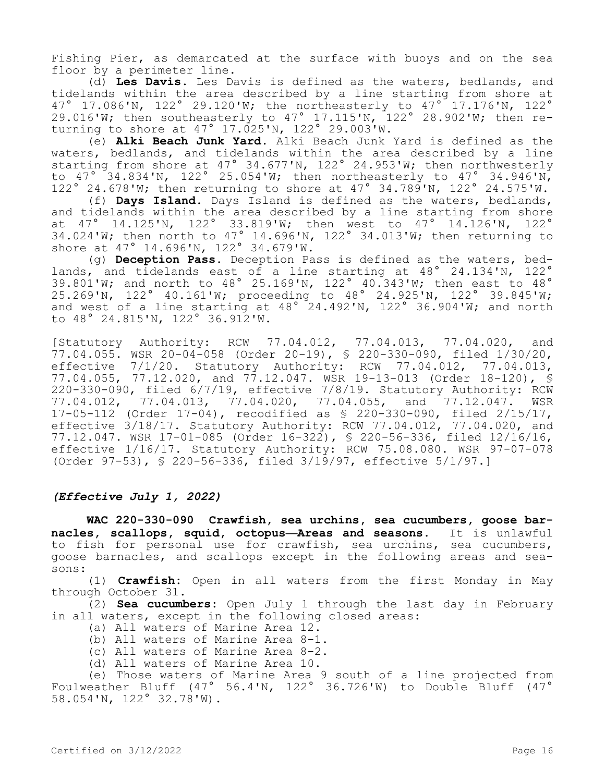Fishing Pier, as demarcated at the surface with buoys and on the sea floor by a perimeter line.

(d) **Les Davis.** Les Davis is defined as the waters, bedlands, and tidelands within the area described by a line starting from shore at 47° 17.086'N, 122° 29.120'W; the northeasterly to 47° 17.176'N, 122° 29.016'W; then southeasterly to 47° 17.115'N, 122° 28.902'W; then returning to shore at 47° 17.025'N, 122° 29.003'W.

(e) **Alki Beach Junk Yard.** Alki Beach Junk Yard is defined as the waters, bedlands, and tidelands within the area described by a line starting from shore at 47° 34.677'N, 122° 24.953'W; then northwesterly to  $47^\circ$  34.834'N, 122° 25.054'W; then northeasterly to  $47^\circ$  34.946'N, 122° 24.678'W; then returning to shore at 47° 34.789'N, 122° 24.575'W.

(f) **Days Island.** Days Island is defined as the waters, bedlands, and tidelands within the area described by a line starting from shore at 47° 14.125'N, 122° 33.819'W; then west to 47° 14.126'N, 122° 34.024'W; then north to 47° 14.696'N, 122° 34.013'W; then returning to shore at 47° 14.696'N, 122° 34.679'W.

(g) **Deception Pass.** Deception Pass is defined as the waters, bedlands, and tidelands east of a line starting at 48° 24.134'N, 122° 39.801'W; and north to 48° 25.169'N, 122° 40.343'W; then east to 48° 25.269'N, 122° 40.161'W; proceeding to 48° 24.925'N, 122° 39.845'W; and west of a line starting at 48° 24.492'N, 122° 36.904'W; and north to 48° 24.815'N, 122° 36.912'W.

[Statutory Authority: RCW 77.04.012, 77.04.013, 77.04.020, and  $77.04.055$ . WSR 20-04-058 (Order 20-19), \$ 220-330-090, filed  $1/30/20$ , effective 7/1/20. Statutory Authority: RCW 77.04.012, 77.04.013, 77.04.055, 77.12.020, and 77.12.047. WSR 19-13-013 (Order 18-120), § 220-330-090, filed 6/7/19, effective 7/8/19. Statutory Authority: RCW 77.04.012, 77.04.013, 77.04.020, 77.04.055, and 77.12.047. WSR 17-05-112 (Order 17-04), recodified as § 220-330-090, filed 2/15/17, effective 3/18/17. Statutory Authority: RCW 77.04.012, 77.04.020, and 77.12.047. WSR 17-01-085 (Order 16-322), § 220-56-336, filed 12/16/16, effective 1/16/17. Statutory Authority: RCW 75.08.080. WSR 97-07-078 (Order 97-53), § 220-56-336, filed 3/19/97, effective 5/1/97.]

## *(Effective July 1, 2022)*

**WAC 220-330-090 Crawfish, sea urchins, sea cucumbers, goose barnacles, scallops, squid, octopus—Areas and seasons.** It is unlawful to fish for personal use for crawfish, sea urchins, sea cucumbers, goose barnacles, and scallops except in the following areas and seasons:

(1) **Crawfish:** Open in all waters from the first Monday in May through October 31.

(2) **Sea cucumbers:** Open July 1 through the last day in February in all waters, except in the following closed areas:

- (a) All waters of Marine Area 12.
- (b) All waters of Marine Area 8-1.
- (c) All waters of Marine Area 8-2.
- (d) All waters of Marine Area 10.

(e) Those waters of Marine Area 9 south of a line projected from Foulweather Bluff (47° 56.4'N, 122° 36.726'W) to Double Bluff (47° 58.054'N, 122° 32.78'W).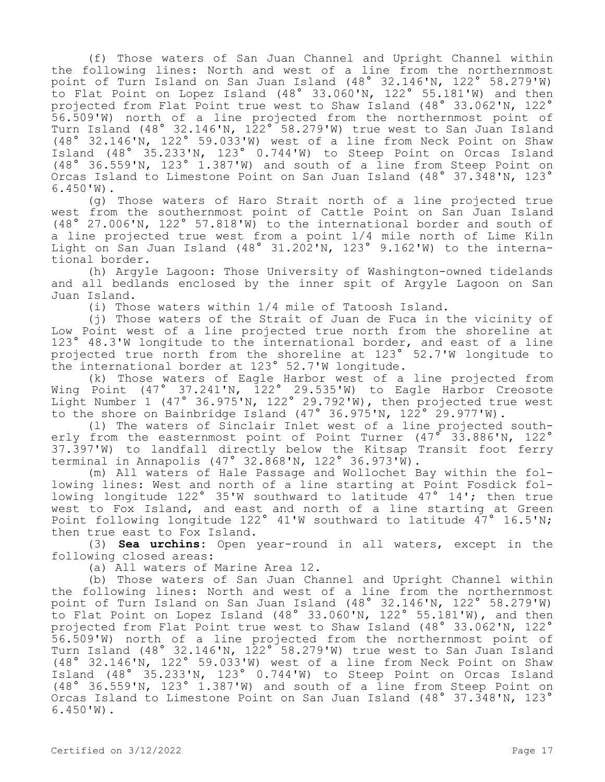(f) Those waters of San Juan Channel and Upright Channel within the following lines: North and west of a line from the northernmost point of Turn Island on San Juan Island (48° 32.146'N, 122° 58.279'W) to Flat Point on Lopez Island (48° 33.060'N, 122° 55.181'W) and then projected from Flat Point true west to Shaw Island (48° 33.062'N, 122° 56.509'W) north of a line projected from the northernmost point of Turn Island (48° 32.146'N, 122° 58.279'W) true west to San Juan Island (48° 32.146'N, 122° 59.033'W) west of a line from Neck Point on Shaw Island (48° 35.233'N, 123° 0.744'W) to Steep Point on Orcas Island (48° 36.559'N, 123° 1.387'W) and south of a line from Steep Point on Orcas Island to Limestone Point on San Juan Island (48° 37.348'N, 123° 6.450'W).

(g) Those waters of Haro Strait north of a line projected true west from the southernmost point of Cattle Point on San Juan Island (48° 27.006'N, 122° 57.818'W) to the international border and south of a line projected true west from a point 1/4 mile north of Lime Kiln Light on San Juan Island (48° 31.202'N, 123° 9.162'W) to the international border.

(h) Argyle Lagoon: Those University of Washington-owned tidelands and all bedlands enclosed by the inner spit of Argyle Lagoon on San Juan Island.

(i) Those waters within 1/4 mile of Tatoosh Island.

(j) Those waters of the Strait of Juan de Fuca in the vicinity of Low Point west of a line projected true north from the shoreline at 123° 48.3'W longitude to the international border, and east of a line projected true north from the shoreline at 123° 52.7'W longitude to the international border at 123° 52.7'W longitude.

(k) Those waters of Eagle Harbor west of a line projected from Wing Point (47° 37.241'N, 122° 29.535'W) to Eagle Harbor Creosote Light Number 1 (47° 36.975'N, 122° 29.792'W), then projected true west to the shore on Bainbridge Island (47° 36.975'N, 122° 29.977'W).

(l) The waters of Sinclair Inlet west of a line projected southerly from the easternmost point of Point Turner (47° 33.886'N, 122° 37.397'W) to landfall directly below the Kitsap Transit foot ferry terminal in Annapolis (47° 32.868'N, 122° 36.973'W).

(m) All waters of Hale Passage and Wollochet Bay within the following lines: West and north of a line starting at Point Fosdick following longitude 122° 35'W southward to latitude 47° 14'; then true west to Fox Island, and east and north of a line starting at Green Point following longitude 122° 41'W southward to latitude 47° 16.5'N; then true east to Fox Island.

(3) **Sea urchins:** Open year-round in all waters, except in the following closed areas:

(a) All waters of Marine Area 12.

(b) Those waters of San Juan Channel and Upright Channel within the following lines: North and west of a line from the northernmost point of Turn Island on San Juan Island (48° 32.146'N, 122° 58.279'W) to Flat Point on Lopez Island (48° 33.060'N, 122° 55.181'W), and then projected from Flat Point true west to Shaw Island (48° 33.062'N, 122° 56.509'W) north of a line projected from the northernmost point of Turn Island (48° 32.146'N, 122° 58.279'W) true west to San Juan Island (48° 32.146'N, 122° 59.033'W) west of a line from Neck Point on Shaw Island (48° 35.233'N, 123° 0.744'W) to Steep Point on Orcas Island (48° 36.559'N, 123° 1.387'W) and south of a line from Steep Point on Orcas Island to Limestone Point on San Juan Island (48° 37.348'N, 123° 6.450'W).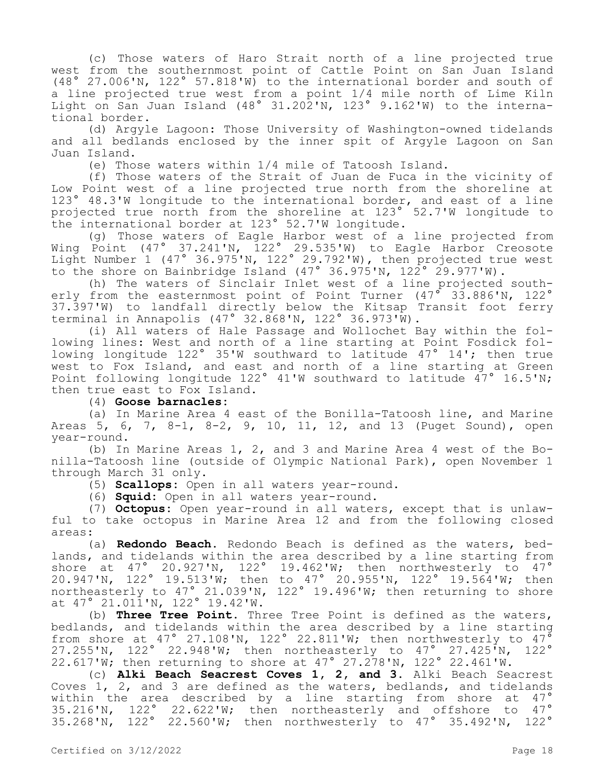(c) Those waters of Haro Strait north of a line projected true west from the southernmost point of Cattle Point on San Juan Island (48° 27.006'N, 122° 57.818'W) to the international border and south of a line projected true west from a point 1/4 mile north of Lime Kiln Light on San Juan Island (48° 31.202'N, 123° 9.162'W) to the international border.

(d) Argyle Lagoon: Those University of Washington-owned tidelands and all bedlands enclosed by the inner spit of Argyle Lagoon on San Juan Island.

(e) Those waters within 1/4 mile of Tatoosh Island.

(f) Those waters of the Strait of Juan de Fuca in the vicinity of Low Point west of a line projected true north from the shoreline at 123° 48.3'W longitude to the international border, and east of a line projected true north from the shoreline at 123° 52.7'W longitude to the international border at 123° 52.7'W longitude.

(g) Those waters of Eagle Harbor west of a line projected from Wing Point (47° 37.241'N, 122° 29.535'W) to Eagle Harbor Creosote Light Number 1 (47° 36.975'N, 122° 29.792'W), then projected true west to the shore on Bainbridge Island (47° 36.975'N, 122° 29.977'W).

(h) The waters of Sinclair Inlet west of a line projected southerly from the easternmost point of Point Turner  $(47^{\circ}$  33.886'N, 122° 37.397'W) to landfall directly below the Kitsap Transit foot ferry terminal in Annapolis (47° 32.868'N, 122° 36.973'W).

(i) All waters of Hale Passage and Wollochet Bay within the following lines: West and north of a line starting at Point Fosdick following longitude 122° 35'W southward to latitude 47° 14'; then true west to Fox Island, and east and north of a line starting at Green Point following longitude 122° 41'W southward to latitude  $47^{\circ}$  16.5'N; then true east to Fox Island.

(4) **Goose barnacles:**

(a) In Marine Area 4 east of the Bonilla-Tatoosh line, and Marine Areas 5, 6, 7, 8-1, 8-2, 9, 10, 11, 12, and 13 (Puget Sound), open year-round.

(b) In Marine Areas 1, 2, and 3 and Marine Area 4 west of the Bonilla-Tatoosh line (outside of Olympic National Park), open November 1 through March 31 only.

(5) **Scallops:** Open in all waters year-round.

(6) **Squid:** Open in all waters year-round.

(7) **Octopus:** Open year-round in all waters, except that is unlawful to take octopus in Marine Area 12 and from the following closed areas:

(a) **Redondo Beach.** Redondo Beach is defined as the waters, bedlands, and tidelands within the area described by a line starting from shore at 47° 20.927'N, 122° 19.462'W; then northwesterly to 47° 20.947'N, 122° 19.513'W; then to 47° 20.955'N, 122° 19.564'W; then northeasterly to 47° 21.039'N, 122° 19.496'W; then returning to shore at 47° 21.011'N, 122° 19.42'W.

(b) **Three Tree Point.** Three Tree Point is defined as the waters, bedlands, and tidelands within the area described by a line starting from shore at 47° 27.108'N, 122° 22.811'W; then northwesterly to  $47^{\circ}$ 27.255'N, 122° 22.948'W; then northeasterly to 47° 27.425'N, 122° 22.617'W; then returning to shore at 47° 27.278'N, 122° 22.461'W.

(c) **Alki Beach Seacrest Coves 1, 2, and 3.** Alki Beach Seacrest Coves 1, 2, and 3 are defined as the waters, bedlands, and tidelands within the area described by a line starting from shore at 47° 35.216'N, 122° 22.622'W; then northeasterly and offshore to 47° 35.268'N, 122° 22.560'W; then northwesterly to 47° 35.492'N, 122°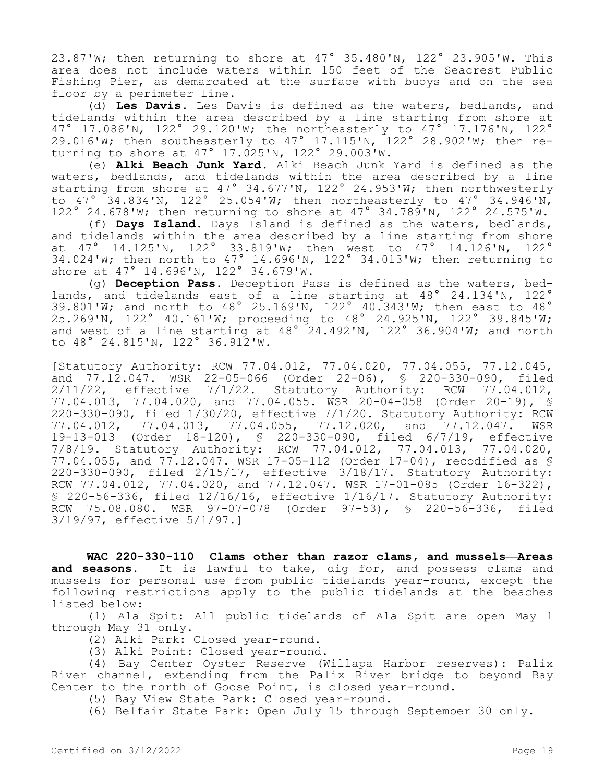23.87'W; then returning to shore at 47° 35.480'N, 122° 23.905'W. This area does not include waters within 150 feet of the Seacrest Public Fishing Pier, as demarcated at the surface with buoys and on the sea floor by a perimeter line.

(d) **Les Davis.** Les Davis is defined as the waters, bedlands, and tidelands within the area described by a line starting from shore at 47° 17.086'N, 122° 29.120'W; the northeasterly to 47° 17.176'N, 122° 29.016'W; then southeasterly to 47° 17.115'N, 122° 28.902'W; then returning to shore at  $47°$  17.025'N, 122° 29.003'W.

(e) **Alki Beach Junk Yard.** Alki Beach Junk Yard is defined as the waters, bedlands, and tidelands within the area described by a line starting from shore at 47° 34.677'N, 122° 24.953'W; then northwesterly to 47° 34.834'N, 122° 25.054'W; then northeasterly to 47° 34.946'N, 122° 24.678'W; then returning to shore at 47° 34.789'N, 122° 24.575'W.

(f) **Days Island.** Days Island is defined as the waters, bedlands, and tidelands within the area described by a line starting from shore at 47° 14.125'N, 122° 33.819'W; then west to 47° 14.126'N, 122° 34.024'W; then north to 47° 14.696'N, 122° 34.013'W; then returning to shore at 47° 14.696'N, 122° 34.679'W.

(g) **Deception Pass.** Deception Pass is defined as the waters, bedlands, and tidelands east of a line starting at 48° 24.134'N, 122° 1 and the lands that the start of the search of the seasons of the seasons of the seasons of the 48° 25.269'N, 122° 40.161'W; proceeding to 48° 24.925'N, 122° 39.845'W; and west of a line starting at 48° 24.492'N, 122° 36.904'W; and north to 48° 24.815'N, 122° 36.912'W.

[Statutory Authority: RCW 77.04.012, 77.04.020, 77.04.055, 77.12.045, and 77.12.047. WSR 22-05-066 (Order 22-06), § 220-330-090, filed 2/11/22, effective 7/1/22. Statutory Authority: RCW 77.04.012, 77.04.013, 77.04.020, and 77.04.055. WSR 20-04-058 (Order 20-19), § 220-330-090, filed 1/30/20, effective 7/1/20. Statutory Authority: RCW 77.04.012, 77.04.013, 77.04.055, 77.12.020, and 77.12.047. WSR 19-13-013 (Order 18-120), § 220-330-090, filed 6/7/19, effective 7/8/19. Statutory Authority: RCW 77.04.012, 77.04.013, 77.04.020, 77.04.055, and 77.12.047. WSR 17-05-112 (Order 17-04), recodified as § 220-330-090, filed 2/15/17, effective 3/18/17. Statutory Authority: RCW 77.04.012, 77.04.020, and 77.12.047. WSR 17-01-085 (Order 16-322), § 220-56-336, filed 12/16/16, effective 1/16/17. Statutory Authority: RCW 75.08.080. WSR 97-07-078 (Order 97-53), § 220-56-336, filed 3/19/97, effective 5/1/97.]

**WAC 220-330-110 Clams other than razor clams, and mussels—Areas and seasons.** It is lawful to take, dig for, and possess clams and mussels for personal use from public tidelands year-round, except the following restrictions apply to the public tidelands at the beaches listed below:

(1) Ala Spit: All public tidelands of Ala Spit are open May 1 through May 31 only.

- (2) Alki Park: Closed year-round.
- (3) Alki Point: Closed year-round.

(4) Bay Center Oyster Reserve (Willapa Harbor reserves): Palix River channel, extending from the Palix River bridge to beyond Bay Center to the north of Goose Point, is closed year-round.

- (5) Bay View State Park: Closed year-round.
- (6) Belfair State Park: Open July 15 through September 30 only.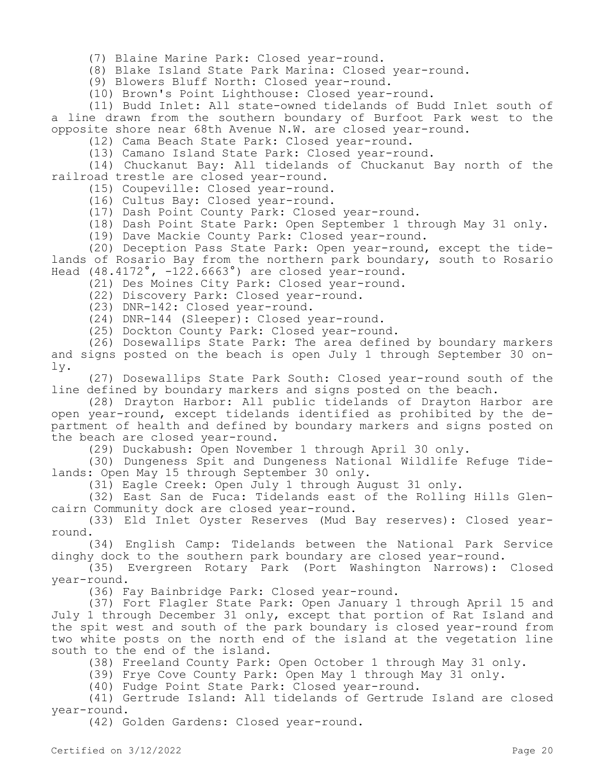- (7) Blaine Marine Park: Closed year-round.
- (8) Blake Island State Park Marina: Closed year-round.

(9) Blowers Bluff North: Closed year-round.

(10) Brown's Point Lighthouse: Closed year-round.

(11) Budd Inlet: All state-owned tidelands of Budd Inlet south of a line drawn from the southern boundary of Burfoot Park west to the opposite shore near 68th Avenue N.W. are closed year-round.

(12) Cama Beach State Park: Closed year-round.

(13) Camano Island State Park: Closed year-round.

(14) Chuckanut Bay: All tidelands of Chuckanut Bay north of the railroad trestle are closed year-round.

(15) Coupeville: Closed year-round.

- (16) Cultus Bay: Closed year-round.
- (17) Dash Point County Park: Closed year-round.

(18) Dash Point State Park: Open September 1 through May 31 only.

(19) Dave Mackie County Park: Closed year-round.

(20) Deception Pass State Park: Open year-round, except the tidelands of Rosario Bay from the northern park boundary, south to Rosario Head  $(48.4172^\circ, -122.6663^\circ)$  are closed year-round.

(21) Des Moines City Park: Closed year-round.

- (22) Discovery Park: Closed year-round.
- (23) DNR-142: Closed year-round.

(24) DNR-144 (Sleeper): Closed year-round.

(25) Dockton County Park: Closed year-round.

(26) Dosewallips State Park: The area defined by boundary markers and signs posted on the beach is open July 1 through September 30 only.

(27) Dosewallips State Park South: Closed year-round south of the line defined by boundary markers and signs posted on the beach.

(28) Drayton Harbor: All public tidelands of Drayton Harbor are open year-round, except tidelands identified as prohibited by the department of health and defined by boundary markers and signs posted on the beach are closed year-round.

(29) Duckabush: Open November 1 through April 30 only.

(30) Dungeness Spit and Dungeness National Wildlife Refuge Tidelands: Open May 15 through September 30 only.

(31) Eagle Creek: Open July 1 through August 31 only.

(32) East San de Fuca: Tidelands east of the Rolling Hills Glencairn Community dock are closed year-round.

(33) Eld Inlet Oyster Reserves (Mud Bay reserves): Closed yearround.

(34) English Camp: Tidelands between the National Park Service dinghy dock to the southern park boundary are closed year-round.

(35) Evergreen Rotary Park (Port Washington Narrows): Closed year-round.

(36) Fay Bainbridge Park: Closed year-round.

(37) Fort Flagler State Park: Open January 1 through April 15 and July 1 through December 31 only, except that portion of Rat Island and the spit west and south of the park boundary is closed year-round from two white posts on the north end of the island at the vegetation line south to the end of the island.

(38) Freeland County Park: Open October 1 through May 31 only.

(39) Frye Cove County Park: Open May 1 through May 31 only.

(40) Fudge Point State Park: Closed year-round.

(41) Gertrude Island: All tidelands of Gertrude Island are closed year-round.

(42) Golden Gardens: Closed year-round.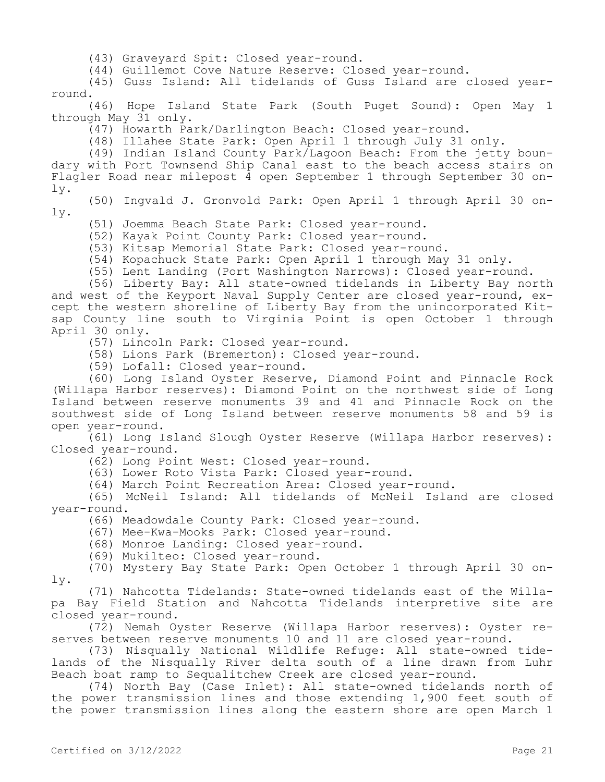(43) Graveyard Spit: Closed year-round.

(44) Guillemot Cove Nature Reserve: Closed year-round.

(45) Guss Island: All tidelands of Guss Island are closed yearround.

(46) Hope Island State Park (South Puget Sound): Open May 1 through May 31 only.

(47) Howarth Park/Darlington Beach: Closed year-round.

(48) Illahee State Park: Open April 1 through July 31 only.

(49) Indian Island County Park/Lagoon Beach: From the jetty boundary with Port Townsend Ship Canal east to the beach access stairs on Flagler Road near milepost 4 open September 1 through September 30 only.

(50) Ingvald J. Gronvold Park: Open April 1 through April 30 only.

(51) Joemma Beach State Park: Closed year-round.

(52) Kayak Point County Park: Closed year-round.

(53) Kitsap Memorial State Park: Closed year-round.

(54) Kopachuck State Park: Open April 1 through May 31 only.

(55) Lent Landing (Port Washington Narrows): Closed year-round.

(56) Liberty Bay: All state-owned tidelands in Liberty Bay north and west of the Keyport Naval Supply Center are closed year-round, except the western shoreline of Liberty Bay from the unincorporated Kitsap County line south to Virginia Point is open October 1 through April 30 only.

(57) Lincoln Park: Closed year-round.

(58) Lions Park (Bremerton): Closed year-round.

(59) Lofall: Closed year-round.

(60) Long Island Oyster Reserve, Diamond Point and Pinnacle Rock (Willapa Harbor reserves): Diamond Point on the northwest side of Long Island between reserve monuments 39 and 41 and Pinnacle Rock on the southwest side of Long Island between reserve monuments 58 and 59 is open year-round.

(61) Long Island Slough Oyster Reserve (Willapa Harbor reserves): Closed year-round.

(62) Long Point West: Closed year-round.

(63) Lower Roto Vista Park: Closed year-round.

(64) March Point Recreation Area: Closed year-round.

(65) McNeil Island: All tidelands of McNeil Island are closed year-round.

(66) Meadowdale County Park: Closed year-round.

(67) Mee-Kwa-Mooks Park: Closed year-round.

(68) Monroe Landing: Closed year-round.

(69) Mukilteo: Closed year-round.

(70) Mystery Bay State Park: Open October 1 through April 30 only.

(71) Nahcotta Tidelands: State-owned tidelands east of the Willapa Bay Field Station and Nahcotta Tidelands interpretive site are closed year-round.

(72) Nemah Oyster Reserve (Willapa Harbor reserves): Oyster reserves between reserve monuments 10 and 11 are closed year-round.

(73) Nisqually National Wildlife Refuge: All state-owned tidelands of the Nisqually River delta south of a line drawn from Luhr Beach boat ramp to Sequalitchew Creek are closed year-round.

(74) North Bay (Case Inlet): All state-owned tidelands north of the power transmission lines and those extending 1,900 feet south of the power transmission lines along the eastern shore are open March 1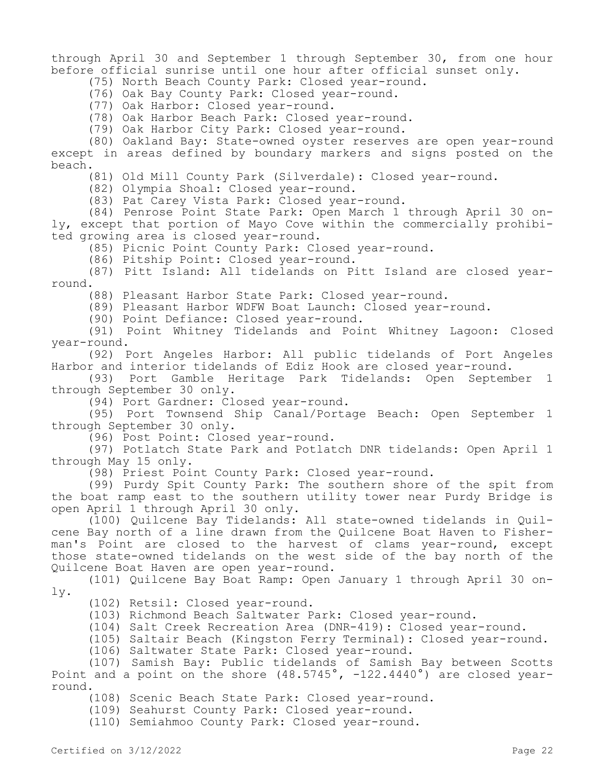through April 30 and September 1 through September 30, from one hour before official sunrise until one hour after official sunset only.

(75) North Beach County Park: Closed year-round.

(76) Oak Bay County Park: Closed year-round.

(77) Oak Harbor: Closed year-round.

(78) Oak Harbor Beach Park: Closed year-round.

(79) Oak Harbor City Park: Closed year-round.

(80) Oakland Bay: State-owned oyster reserves are open year-round except in areas defined by boundary markers and signs posted on the beach.

(81) Old Mill County Park (Silverdale): Closed year-round.

(82) Olympia Shoal: Closed year-round.

(83) Pat Carey Vista Park: Closed year-round.

(84) Penrose Point State Park: Open March 1 through April 30 only, except that portion of Mayo Cove within the commercially prohibited growing area is closed year-round.

(85) Picnic Point County Park: Closed year-round.

(86) Pitship Point: Closed year-round.

(87) Pitt Island: All tidelands on Pitt Island are closed yearround.

(88) Pleasant Harbor State Park: Closed year-round.

(89) Pleasant Harbor WDFW Boat Launch: Closed year-round.

(90) Point Defiance: Closed year-round.

(91) Point Whitney Tidelands and Point Whitney Lagoon: Closed year-round.

(92) Port Angeles Harbor: All public tidelands of Port Angeles Harbor and interior tidelands of Ediz Hook are closed year-round.

(93) Port Gamble Heritage Park Tidelands: Open September 1 through September 30 only.

(94) Port Gardner: Closed year-round.

(95) Port Townsend Ship Canal/Portage Beach: Open September 1 through September 30 only.

(96) Post Point: Closed year-round.

(97) Potlatch State Park and Potlatch DNR tidelands: Open April 1 through May 15 only.

(98) Priest Point County Park: Closed year-round.

(99) Purdy Spit County Park: The southern shore of the spit from the boat ramp east to the southern utility tower near Purdy Bridge is open April 1 through April 30 only.

(100) Quilcene Bay Tidelands: All state-owned tidelands in Quilcene Bay north of a line drawn from the Quilcene Boat Haven to Fisherman's Point are closed to the harvest of clams year-round, except those state-owned tidelands on the west side of the bay north of the Quilcene Boat Haven are open year-round.

(101) Quilcene Bay Boat Ramp: Open January 1 through April 30 only.

(102) Retsil: Closed year-round.

(103) Richmond Beach Saltwater Park: Closed year-round.

(104) Salt Creek Recreation Area (DNR-419): Closed year-round.

(105) Saltair Beach (Kingston Ferry Terminal): Closed year-round.

(106) Saltwater State Park: Closed year-round.

(107) Samish Bay: Public tidelands of Samish Bay between Scotts Point and a point on the shore  $(48.5745^\circ, -122.4440^\circ)$  are closed yearround.

(108) Scenic Beach State Park: Closed year-round.

(109) Seahurst County Park: Closed year-round.

(110) Semiahmoo County Park: Closed year-round.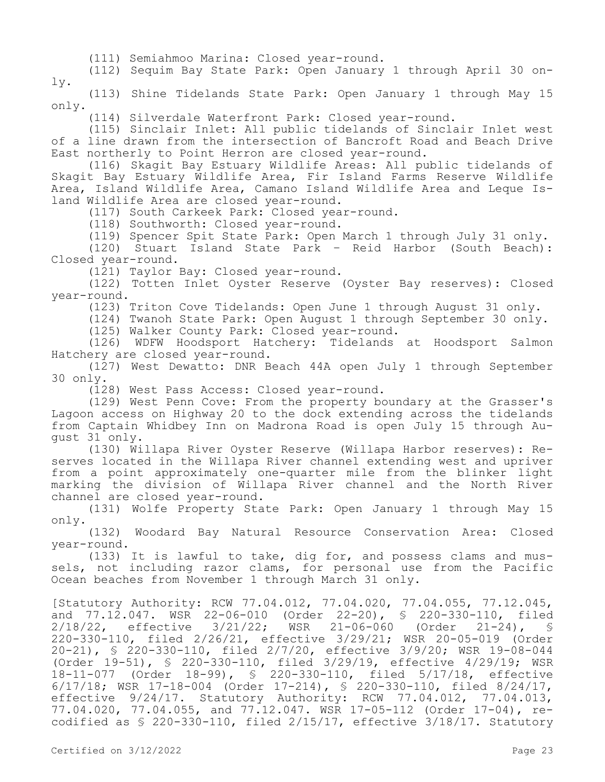(111) Semiahmoo Marina: Closed year-round.

(112) Sequim Bay State Park: Open January 1 through April 30 only.

(113) Shine Tidelands State Park: Open January 1 through May 15 only.

(114) Silverdale Waterfront Park: Closed year-round.

(115) Sinclair Inlet: All public tidelands of Sinclair Inlet west of a line drawn from the intersection of Bancroft Road and Beach Drive East northerly to Point Herron are closed year-round.

(116) Skagit Bay Estuary Wildlife Areas: All public tidelands of Skagit Bay Estuary Wildlife Area, Fir Island Farms Reserve Wildlife Area, Island Wildlife Area, Camano Island Wildlife Area and Leque Island Wildlife Area are closed year-round.

(117) South Carkeek Park: Closed year-round.

(118) Southworth: Closed year-round.

(119) Spencer Spit State Park: Open March 1 through July 31 only.

(120) Stuart Island State Park – Reid Harbor (South Beach): Closed year-round.

(121) Taylor Bay: Closed year-round.

(122) Totten Inlet Oyster Reserve (Oyster Bay reserves): Closed year-round.

(123) Triton Cove Tidelands: Open June 1 through August 31 only.

(124) Twanoh State Park: Open August 1 through September 30 only.

(125) Walker County Park: Closed year-round.

(126) WDFW Hoodsport Hatchery: Tidelands at Hoodsport Salmon Hatchery are closed year-round.

(127) West Dewatto: DNR Beach 44A open July 1 through September 30 only.

(128) West Pass Access: Closed year-round.

(129) West Penn Cove: From the property boundary at the Grasser's Lagoon access on Highway 20 to the dock extending across the tidelands from Captain Whidbey Inn on Madrona Road is open July 15 through August 31 only.

(130) Willapa River Oyster Reserve (Willapa Harbor reserves): Reserves located in the Willapa River channel extending west and upriver from a point approximately one-quarter mile from the blinker light marking the division of Willapa River channel and the North River channel are closed year-round.

(131) Wolfe Property State Park: Open January 1 through May 15 only.

(132) Woodard Bay Natural Resource Conservation Area: Closed year-round.

(133) It is lawful to take, dig for, and possess clams and mussels, not including razor clams, for personal use from the Pacific Ocean beaches from November 1 through March 31 only.

[Statutory Authority: RCW 77.04.012, 77.04.020, 77.04.055, 77.12.045, and  $77.12.047$ . WSR 22-06-010 (Order 22-20), § 220-330-110, filed 2/18/22, effective 3/21/22; WSR 21-06-060 (Order 21-24), § 220-330-110, filed 2/26/21, effective 3/29/21; WSR 20-05-019 (Order 20-21), § 220-330-110, filed 2/7/20, effective 3/9/20; WSR 19-08-044 (Order 19-51), § 220-330-110, filed 3/29/19, effective 4/29/19; WSR 18-11-077 (Order 18-99), § 220-330-110, filed 5/17/18, effective 6/17/18; WSR 17-18-004 (Order 17-214), § 220-330-110, filed 8/24/17, effective 9/24/17. Statutory Authority: RCW 77.04.012, 77.04.013, 77.04.020, 77.04.055, and 77.12.047. WSR 17-05-112 (Order 17-04), recodified as § 220-330-110, filed 2/15/17, effective 3/18/17. Statutory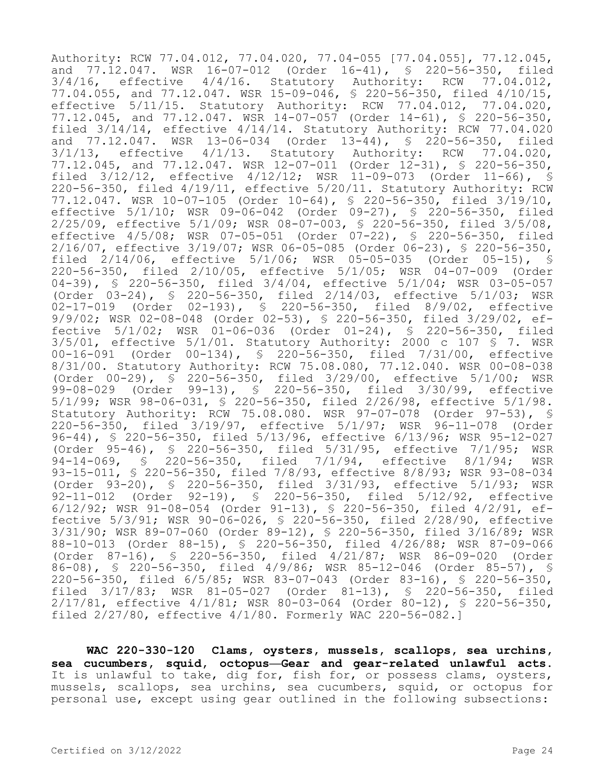Authority: RCW 77.04.012, 77.04.020, 77.04-055 [77.04.055], 77.12.045, and 77.12.047. WSR 16-07-012 (Order 16-41), § 220-56-350, filed  $3/4/16$ , effective  $4/4/16$ . Statutory Authority: RCW 77.04.012, 77.04.055, and 77.12.047. WSR 15-09-046, § 220-56-350, filed 4/10/15, effective 5/11/15. Statutory Authority: RCW 77.04.012, 77.04.020, 77.12.045, and 77.12.047. WSR 14-07-057 (Order 14-61), § 220-56-350, filed 3/14/14, effective 4/14/14. Statutory Authority: RCW 77.04.020 and 77.12.047. WSR 13-06-034 (Order 13-44), § 220-56-350, filed 3/1/13, effective 4/1/13. Statutory Authority: RCW 77.04.020, 77.12.045, and 77.12.047. WSR 12-07-011 (Order 12-31), § 220-56-350, filed 3/12/12, effective 4/12/12; WSR 11-09-073 (Order 11-66), § 220-56-350, filed 4/19/11, effective 5/20/11. Statutory Authority: RCW 77.12.047. WSR 10-07-105 (Order 10-64), § 220-56-350, filed 3/19/10, effective 5/1/10; WSR 09-06-042 (Order 09-27), § 220-56-350, filed 2/25/09, effective 5/1/09; WSR 08-07-003, § 220-56-350, filed 3/5/08, effective 4/5/08; WSR 07-05-051 (Order 07-22), § 220-56-350, filed 2/16/07, effective 3/19/07; WSR 06-05-085 (Order 06-23), § 220-56-350, filed 2/14/06, effective 5/1/06; WSR 05-05-035 (Order 05-15), § 220-56-350, filed 2/10/05, effective 5/1/05; WSR 04-07-009 (Order 04-39), § 220-56-350, filed 3/4/04, effective 5/1/04; WSR 03-05-057 (Order 03-24), § 220-56-350, filed 2/14/03, effective 5/1/03; WSR 02-17-019 (Order 02-193), § 220-56-350, filed 8/9/02, effective 9/9/02; WSR 02-08-048 (Order 02-53), § 220-56-350, filed 3/29/02, effective 5/1/02; WSR 01-06-036 (Order 01-24), § 220-56-350, filed  $3/5/01$ , effective  $5/1/01$ . Statutory Authority: 2000 c 107 § 7. WSR 00-16-091 (Order 00-134), § 220-56-350, filed 7/31/00, effective 8/31/00. Statutory Authority: RCW 75.08.080, 77.12.040. WSR 00-08-038 (Order 00-29), § 220-56-350, filed 3/29/00, effective 5/1/00; WSR 99-08-029 (Order 99-13), § 220-56-350, filed 3/30/99, effective 5/1/99; WSR 98-06-031, § 220-56-350, filed 2/26/98, effective 5/1/98. Statutory Authority: RCW 75.08.080. WSR 97-07-078 (Order 97-53), § 220-56-350, filed 3/19/97, effective 5/1/97; WSR 96-11-078 (Order 96-44), § 220-56-350, filed 5/13/96, effective 6/13/96; WSR 95-12-027 (Order 95-46), § 220-56-350, filed 5/31/95, effective 7/1/95; WSR 94-14-069, § 220-56-350, filed 7/1/94, effective 8/1/94; WSR 93-15-011, § 220-56-350, filed 7/8/93, effective 8/8/93; WSR 93-08-034 (Order 93-20), § 220-56-350, filed 3/31/93, effective 5/1/93; WSR 92-11-012 (Order 92-19), § 220-56-350, filed 5/12/92, effective 6/12/92; WSR 91-08-054 (Order 91-13), § 220-56-350, filed 4/2/91, effective 5/3/91; WSR 90-06-026, § 220-56-350, filed 2/28/90, effective 3/31/90; WSR 89-07-060 (Order 89-12), § 220-56-350, filed 3/16/89; WSR 88-10-013 (Order 88-15), § 220-56-350, filed 4/26/88; WSR 87-09-066 (Order 87-16), § 220-56-350, filed 4/21/87; WSR 86-09-020 (Order 86-08), § 220-56-350, filed 4/9/86; WSR 85-12-046 (Order 85-57), § 220-56-350, filed 6/5/85; WSR 83-07-043 (Order 83-16), § 220-56-350, filed 3/17/83; WSR 81-05-027 (Order 81-13), § 220-56-350, filed 2/17/81, effective 4/1/81; WSR 80-03-064 (Order 80-12), § 220-56-350, filed 2/27/80, effective 4/1/80. Formerly WAC 220-56-082.]

**WAC 220-330-120 Clams, oysters, mussels, scallops, sea urchins, sea cucumbers, squid, octopus—Gear and gear-related unlawful acts.**  It is unlawful to take, dig for, fish for, or possess clams, oysters, mussels, scallops, sea urchins, sea cucumbers, squid, or octopus for personal use, except using gear outlined in the following subsections: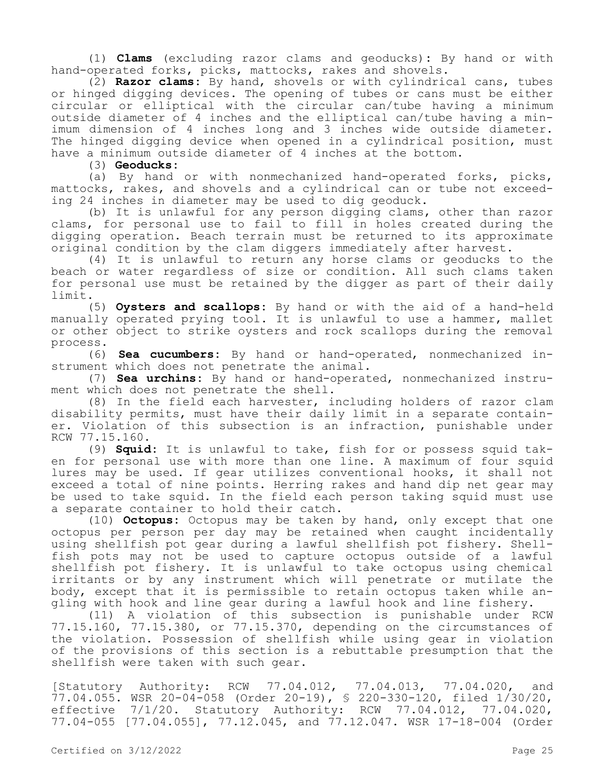(1) **Clams** (excluding razor clams and geoducks)**:** By hand or with hand-operated forks, picks, mattocks, rakes and shovels.

(2) **Razor clams:** By hand, shovels or with cylindrical cans, tubes or hinged digging devices. The opening of tubes or cans must be either circular or elliptical with the circular can/tube having a minimum outside diameter of 4 inches and the elliptical can/tube having a minimum dimension of 4 inches long and 3 inches wide outside diameter. The hinged digging device when opened in a cylindrical position, must have a minimum outside diameter of 4 inches at the bottom.

(3) **Geoducks:**

(a) By hand or with nonmechanized hand-operated forks, picks, mattocks, rakes, and shovels and a cylindrical can or tube not exceeding 24 inches in diameter may be used to dig geoduck.

(b) It is unlawful for any person digging clams, other than razor clams, for personal use to fail to fill in holes created during the digging operation. Beach terrain must be returned to its approximate original condition by the clam diggers immediately after harvest.

(4) It is unlawful to return any horse clams or geoducks to the beach or water regardless of size or condition. All such clams taken for personal use must be retained by the digger as part of their daily limit.

(5) **Oysters and scallops:** By hand or with the aid of a hand-held manually operated prying tool. It is unlawful to use a hammer, mallet or other object to strike oysters and rock scallops during the removal process.

(6) **Sea cucumbers:** By hand or hand-operated, nonmechanized instrument which does not penetrate the animal.

(7) **Sea urchins:** By hand or hand-operated, nonmechanized instrument which does not penetrate the shell.

(8) In the field each harvester, including holders of razor clam disability permits, must have their daily limit in a separate container. Violation of this subsection is an infraction, punishable under RCW 77.15.160.

(9) **Squid:** It is unlawful to take, fish for or possess squid taken for personal use with more than one line. A maximum of four squid lures may be used. If gear utilizes conventional hooks, it shall not exceed a total of nine points. Herring rakes and hand dip net gear may be used to take squid. In the field each person taking squid must use a separate container to hold their catch.

(10) **Octopus:** Octopus may be taken by hand, only except that one octopus per person per day may be retained when caught incidentally using shellfish pot gear during a lawful shellfish pot fishery. Shellfish pots may not be used to capture octopus outside of a lawful shellfish pot fishery. It is unlawful to take octopus using chemical irritants or by any instrument which will penetrate or mutilate the body, except that it is permissible to retain octopus taken while angling with hook and line gear during a lawful hook and line fishery.

(11) A violation of this subsection is punishable under RCW 77.15.160, 77.15.380, or 77.15.370, depending on the circumstances of the violation. Possession of shellfish while using gear in violation of the provisions of this section is a rebuttable presumption that the shellfish were taken with such gear.

[Statutory Authority: RCW 77.04.012, 77.04.013, 77.04.020, and  $77.04.055$ . WSR 20-04-058 (Order 20-19), \$ 220-330-120, filed  $1/30/20$ , effective 7/1/20. Statutory Authority: RCW 77.04.012, 77.04.020, 77.04-055 [77.04.055], 77.12.045, and 77.12.047. WSR 17-18-004 (Order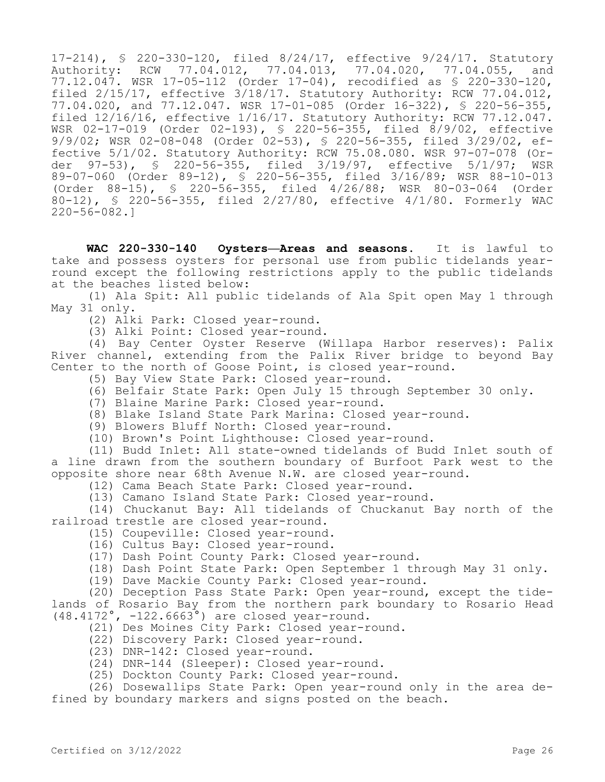17-214), § 220-330-120, filed 8/24/17, effective 9/24/17. Statutory Authority: RCW 77.04.012, 77.04.013, 77.04.020, 77.04.055, and 77.12.047. WSR 17-05-112 (Order 17-04), recodified as § 220-330-120, filed 2/15/17, effective 3/18/17. Statutory Authority: RCW 77.04.012, 77.04.020, and 77.12.047. WSR 17-01-085 (Order 16-322), § 220-56-355, filed 12/16/16, effective 1/16/17. Statutory Authority: RCW 77.12.047. WSR 02-17-019 (Order 02-193), § 220-56-355, filed 8/9/02, effective 9/9/02; WSR 02-08-048 (Order 02-53), § 220-56-355, filed 3/29/02, effective 5/1/02. Statutory Authority: RCW 75.08.080. WSR 97-07-078 (Order 97-53), § 220-56-355, filed 3/19/97, effective 5/1/97; WSR 89-07-060 (Order 89-12), § 220-56-355, filed 3/16/89; WSR 88-10-013 (Order 88-15), § 220-56-355, filed 4/26/88; WSR 80-03-064 (Order 80-12), § 220-56-355, filed 2/27/80, effective 4/1/80. Formerly WAC 220-56-082.]

**WAC 220-330-140 Oysters—Areas and seasons.** It is lawful to take and possess oysters for personal use from public tidelands yearround except the following restrictions apply to the public tidelands at the beaches listed below:

(1) Ala Spit: All public tidelands of Ala Spit open May 1 through May 31 only.

- (2) Alki Park: Closed year-round.
- (3) Alki Point: Closed year-round.

(4) Bay Center Oyster Reserve (Willapa Harbor reserves): Palix River channel, extending from the Palix River bridge to beyond Bay Center to the north of Goose Point, is closed year-round.

- (5) Bay View State Park: Closed year-round.
- (6) Belfair State Park: Open July 15 through September 30 only.
- (7) Blaine Marine Park: Closed year-round.
- (8) Blake Island State Park Marina: Closed year-round.

(9) Blowers Bluff North: Closed year-round.

(10) Brown's Point Lighthouse: Closed year-round.

(11) Budd Inlet: All state-owned tidelands of Budd Inlet south of a line drawn from the southern boundary of Burfoot Park west to the opposite shore near 68th Avenue N.W. are closed year-round.

- (12) Cama Beach State Park: Closed year-round.
- (13) Camano Island State Park: Closed year-round.

(14) Chuckanut Bay: All tidelands of Chuckanut Bay north of the railroad trestle are closed year-round.

- (15) Coupeville: Closed year-round.
	- (16) Cultus Bay: Closed year-round.
	- (17) Dash Point County Park: Closed year-round.
	- (18) Dash Point State Park: Open September 1 through May 31 only.
	- (19) Dave Mackie County Park: Closed year-round.

(20) Deception Pass State Park: Open year-round, except the tidelands of Rosario Bay from the northern park boundary to Rosario Head (48.4172°, -122.6663°) are closed year-round.

- (21) Des Moines City Park: Closed year-round.
- (22) Discovery Park: Closed year-round.
- (23) DNR-142: Closed year-round.
- (24) DNR-144 (Sleeper): Closed year-round.
- (25) Dockton County Park: Closed year-round.

(26) Dosewallips State Park: Open year-round only in the area defined by boundary markers and signs posted on the beach.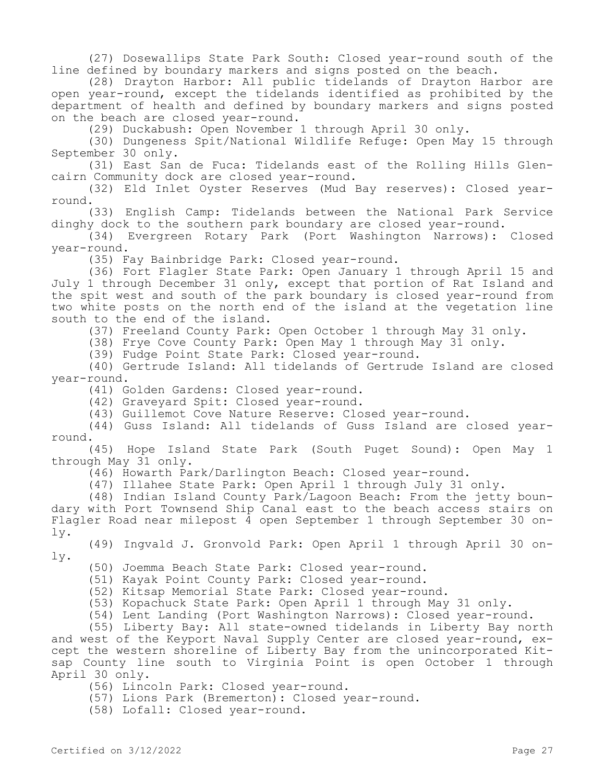(27) Dosewallips State Park South: Closed year-round south of the line defined by boundary markers and signs posted on the beach.

(28) Drayton Harbor: All public tidelands of Drayton Harbor are open year-round, except the tidelands identified as prohibited by the department of health and defined by boundary markers and signs posted on the beach are closed year-round.

(29) Duckabush: Open November 1 through April 30 only.

(30) Dungeness Spit/National Wildlife Refuge: Open May 15 through September 30 only.

(31) East San de Fuca: Tidelands east of the Rolling Hills Glencairn Community dock are closed year-round.

(32) Eld Inlet Oyster Reserves (Mud Bay reserves): Closed yearround.

(33) English Camp: Tidelands between the National Park Service dinghy dock to the southern park boundary are closed year-round.

(34) Evergreen Rotary Park (Port Washington Narrows): Closed year-round.

(35) Fay Bainbridge Park: Closed year-round.

(36) Fort Flagler State Park: Open January 1 through April 15 and July 1 through December 31 only, except that portion of Rat Island and the spit west and south of the park boundary is closed year-round from two white posts on the north end of the island at the vegetation line south to the end of the island.

(37) Freeland County Park: Open October 1 through May 31 only.

(38) Frye Cove County Park: Open May 1 through May 31 only.

(39) Fudge Point State Park: Closed year-round.

(40) Gertrude Island: All tidelands of Gertrude Island are closed year-round.

(41) Golden Gardens: Closed year-round.

(42) Graveyard Spit: Closed year-round.

(43) Guillemot Cove Nature Reserve: Closed year-round.

(44) Guss Island: All tidelands of Guss Island are closed yearround.

(45) Hope Island State Park (South Puget Sound): Open May 1 through May 31 only.

(46) Howarth Park/Darlington Beach: Closed year-round.

(47) Illahee State Park: Open April 1 through July 31 only.

(48) Indian Island County Park/Lagoon Beach: From the jetty boundary with Port Townsend Ship Canal east to the beach access stairs on Flagler Road near milepost 4 open September 1 through September 30 only.

(49) Ingvald J. Gronvold Park: Open April 1 through April 30 only.

(50) Joemma Beach State Park: Closed year-round.

(51) Kayak Point County Park: Closed year-round.

(52) Kitsap Memorial State Park: Closed year-round.

(53) Kopachuck State Park: Open April 1 through May 31 only.

(54) Lent Landing (Port Washington Narrows): Closed year-round.

(55) Liberty Bay: All state-owned tidelands in Liberty Bay north and west of the Keyport Naval Supply Center are closed year-round, except the western shoreline of Liberty Bay from the unincorporated Kitsap County line south to Virginia Point is open October 1 through April 30 only.

(56) Lincoln Park: Closed year-round.

(57) Lions Park (Bremerton): Closed year-round.

(58) Lofall: Closed year-round.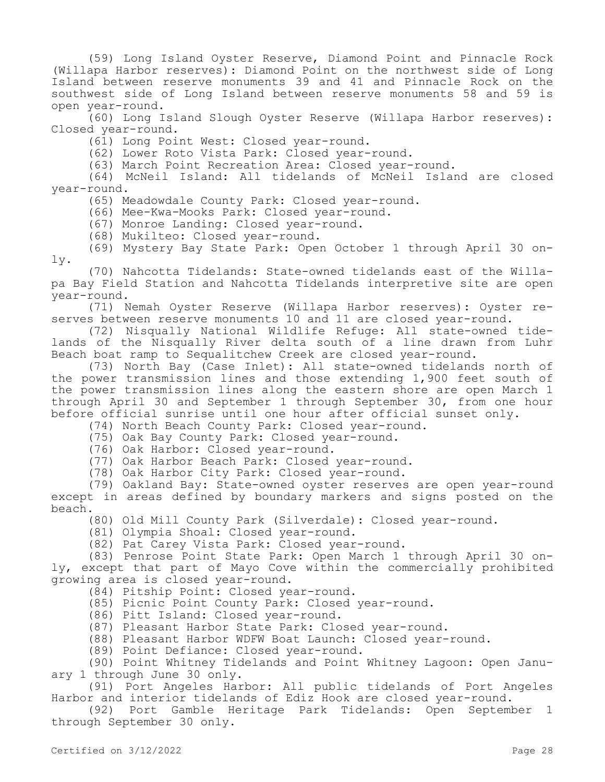(59) Long Island Oyster Reserve, Diamond Point and Pinnacle Rock (Willapa Harbor reserves): Diamond Point on the northwest side of Long Island between reserve monuments 39 and 41 and Pinnacle Rock on the southwest side of Long Island between reserve monuments 58 and 59 is open year-round.

(60) Long Island Slough Oyster Reserve (Willapa Harbor reserves): Closed year-round.

(61) Long Point West: Closed year-round.

(62) Lower Roto Vista Park: Closed year-round.

(63) March Point Recreation Area: Closed year-round.

(64) McNeil Island: All tidelands of McNeil Island are closed year-round.

(65) Meadowdale County Park: Closed year-round.

(66) Mee-Kwa-Mooks Park: Closed year-round.

(67) Monroe Landing: Closed year-round.

(68) Mukilteo: Closed year-round.

(69) Mystery Bay State Park: Open October 1 through April 30 only.

(70) Nahcotta Tidelands: State-owned tidelands east of the Willapa Bay Field Station and Nahcotta Tidelands interpretive site are open year-round.

(71) Nemah Oyster Reserve (Willapa Harbor reserves): Oyster reserves between reserve monuments 10 and 11 are closed year-round.

(72) Nisqually National Wildlife Refuge: All state-owned tidelands of the Nisqually River delta south of a line drawn from Luhr Beach boat ramp to Sequalitchew Creek are closed year-round.

(73) North Bay (Case Inlet): All state-owned tidelands north of the power transmission lines and those extending 1,900 feet south of the power transmission lines along the eastern shore are open March 1 through April 30 and September 1 through September 30, from one hour before official sunrise until one hour after official sunset only.

(74) North Beach County Park: Closed year-round.

(75) Oak Bay County Park: Closed year-round.

(76) Oak Harbor: Closed year-round.

(77) Oak Harbor Beach Park: Closed year-round.

(78) Oak Harbor City Park: Closed year-round.

(79) Oakland Bay: State-owned oyster reserves are open year-round except in areas defined by boundary markers and signs posted on the beach.

(80) Old Mill County Park (Silverdale): Closed year-round.

(81) Olympia Shoal: Closed year-round.

(82) Pat Carey Vista Park: Closed year-round.

(83) Penrose Point State Park: Open March 1 through April 30 only, except that part of Mayo Cove within the commercially prohibited growing area is closed year-round.

(84) Pitship Point: Closed year-round.

(85) Picnic Point County Park: Closed year-round.

(86) Pitt Island: Closed year-round.

(87) Pleasant Harbor State Park: Closed year-round.

(88) Pleasant Harbor WDFW Boat Launch: Closed year-round.

(89) Point Defiance: Closed year-round.

(90) Point Whitney Tidelands and Point Whitney Lagoon: Open January 1 through June 30 only.

(91) Port Angeles Harbor: All public tidelands of Port Angeles Harbor and interior tidelands of Ediz Hook are closed year-round.

(92) Port Gamble Heritage Park Tidelands: Open September 1 through September 30 only.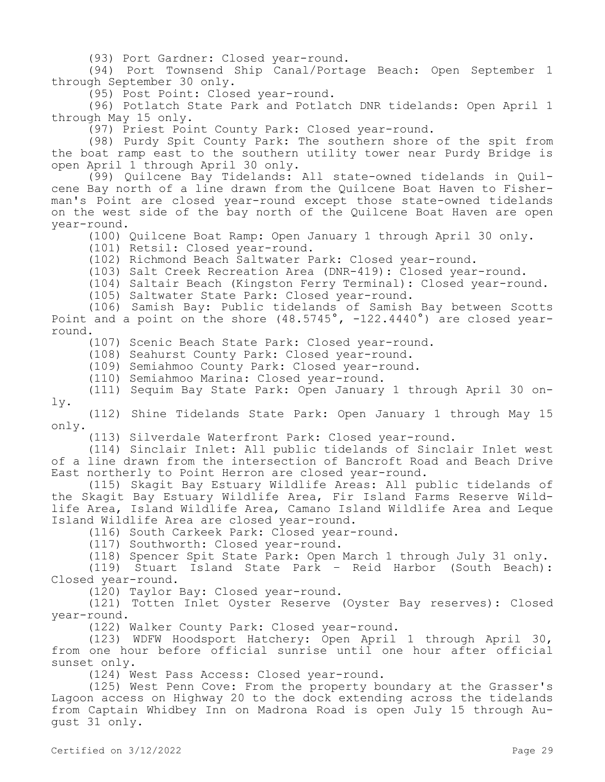(93) Port Gardner: Closed year-round.

(94) Port Townsend Ship Canal/Portage Beach: Open September 1 through September 30 only.

(95) Post Point: Closed year-round.

(96) Potlatch State Park and Potlatch DNR tidelands: Open April 1 through May 15 only.

(97) Priest Point County Park: Closed year-round.

(98) Purdy Spit County Park: The southern shore of the spit from the boat ramp east to the southern utility tower near Purdy Bridge is open April 1 through April 30 only.

(99) Quilcene Bay Tidelands: All state-owned tidelands in Quilcene Bay north of a line drawn from the Quilcene Boat Haven to Fisherman's Point are closed year-round except those state-owned tidelands on the west side of the bay north of the Quilcene Boat Haven are open year-round.

(100) Quilcene Boat Ramp: Open January 1 through April 30 only.

(101) Retsil: Closed year-round.

(102) Richmond Beach Saltwater Park: Closed year-round.

(103) Salt Creek Recreation Area (DNR-419): Closed year-round.

(104) Saltair Beach (Kingston Ferry Terminal): Closed year-round.

(105) Saltwater State Park: Closed year-round.

(106) Samish Bay: Public tidelands of Samish Bay between Scotts Point and a point on the shore (48.5745°, -122.4440°) are closed yearround.

(107) Scenic Beach State Park: Closed year-round.

(108) Seahurst County Park: Closed year-round.

(109) Semiahmoo County Park: Closed year-round.

(110) Semiahmoo Marina: Closed year-round.

(111) Sequim Bay State Park: Open January 1 through April 30 only.

(112) Shine Tidelands State Park: Open January 1 through May 15 only.

(113) Silverdale Waterfront Park: Closed year-round.

(114) Sinclair Inlet: All public tidelands of Sinclair Inlet west of a line drawn from the intersection of Bancroft Road and Beach Drive East northerly to Point Herron are closed year-round.

(115) Skagit Bay Estuary Wildlife Areas: All public tidelands of the Skagit Bay Estuary Wildlife Area, Fir Island Farms Reserve Wildlife Area, Island Wildlife Area, Camano Island Wildlife Area and Leque Island Wildlife Area are closed year-round.

(116) South Carkeek Park: Closed year-round.

(117) Southworth: Closed year-round.

(118) Spencer Spit State Park: Open March 1 through July 31 only.

(119) Stuart Island State Park – Reid Harbor (South Beach): Closed year-round.

(120) Taylor Bay: Closed year-round.

(121) Totten Inlet Oyster Reserve (Oyster Bay reserves): Closed year-round.

(122) Walker County Park: Closed year-round.

(123) WDFW Hoodsport Hatchery: Open April 1 through April 30, from one hour before official sunrise until one hour after official sunset only.

(124) West Pass Access: Closed year-round.

(125) West Penn Cove: From the property boundary at the Grasser's Lagoon access on Highway 20 to the dock extending across the tidelands from Captain Whidbey Inn on Madrona Road is open July 15 through August 31 only.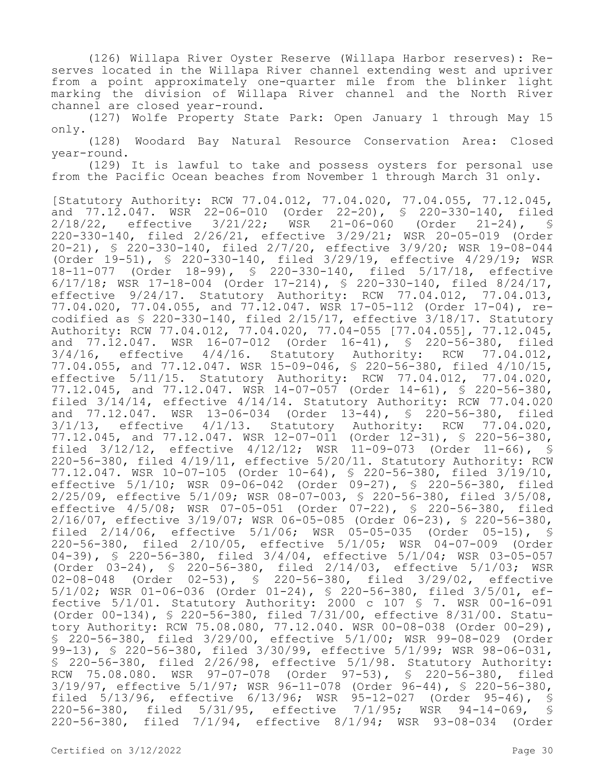(126) Willapa River Oyster Reserve (Willapa Harbor reserves): Reserves located in the Willapa River channel extending west and upriver from a point approximately one-quarter mile from the blinker light marking the division of Willapa River channel and the North River channel are closed year-round.

(127) Wolfe Property State Park: Open January 1 through May 15 only.

(128) Woodard Bay Natural Resource Conservation Area: Closed year-round.

(129) It is lawful to take and possess oysters for personal use from the Pacific Ocean beaches from November 1 through March 31 only.

[Statutory Authority: RCW 77.04.012, 77.04.020, 77.04.055, 77.12.045, and 77.12.047. WSR 22-06-010 (Order 22-20), § 220-330-140, filed 2/18/22, effective 3/21/22; WSR 21-06-060 (Order 21-24), § 220-330-140, filed 2/26/21, effective 3/29/21; WSR 20-05-019 (Order 20-21), § 220-330-140, filed 2/7/20, effective 3/9/20; WSR 19-08-044 (Order 19-51), § 220-330-140, filed 3/29/19, effective 4/29/19; WSR 18-11-077 (Order 18-99), § 220-330-140, filed 5/17/18, effective 6/17/18; WSR 17-18-004 (Order 17-214), § 220-330-140, filed 8/24/17, effective 9/24/17. Statutory Authority: RCW 77.04.012, 77.04.013, 77.04.020, 77.04.055, and 77.12.047. WSR 17-05-112 (Order 17-04), recodified as § 220-330-140, filed 2/15/17, effective 3/18/17. Statutory Authority: RCW 77.04.012, 77.04.020, 77.04-055 [77.04.055], 77.12.045, and  $77.\overline{1}2.047$ . WSR  $16-07-012$  (Order  $16-41$ ),  $\frac{1}{5}$  220-56-380, filed  $3/4/16$ , effective  $4/4/16$ . Statutory Authority: RCW 77.04.012, 4/4/16. Statutory Authority: RCW 77.04.012, 77.04.055, and 77.12.047. WSR 15-09-046, § 220-56-380, filed 4/10/15, effective 5/11/15. Statutory Authority: RCW 77.04.012, 77.04.020, 77.12.045, and 77.12.047. WSR 14-07-057 (Order 14-61), § 220-56-380, filed 3/14/14, effective 4/14/14. Statutory Authority: RCW 77.04.020 and 77.12.047. WSR 13-06-034 (Order 13-44), § 220-56-380, filed  $3/1/13$ , effective  $4/1/13$ . Statutory Authority: RCW 77.04.020, 77.12.045, and 77.12.047. WSR 12-07-011 (Order 12-31), § 220-56-380, filed 3/12/12, effective 4/12/12; WSR 11-09-073 (Order 11-66), § 220-56-380, filed 4/19/11, effective 5/20/11. Statutory Authority: RCW 77.12.047. WSR 10-07-105 (Order 10-64), § 220-56-380, filed 3/19/10, effective 5/1/10; WSR 09-06-042 (Order 09-27), § 220-56-380, filed 2/25/09, effective 5/1/09; WSR 08-07-003, § 220-56-380, filed 3/5/08, effective 4/5/08; WSR 07-05-051 (Order 07-22), § 220-56-380, filed 2/16/07, effective 3/19/07; WSR 06-05-085 (Order 06-23), § 220-56-380, filed 2/14/06, effective 5/1/06; WSR 05-05-035 (Order 05-15), § 220-56-380, filed 2/10/05, effective 5/1/05; WSR 04-07-009 (Order 04-39), § 220-56-380, filed 3/4/04, effective 5/1/04; WSR 03-05-057 (Order 03-24), § 220-56-380, filed 2/14/03, effective 5/1/03; WSR 02-08-048 (Order 02-53), § 220-56-380, filed 3/29/02, effective 5/1/02; WSR 01-06-036 (Order 01-24), § 220-56-380, filed 3/5/01, effective 5/1/01. Statutory Authority: 2000 c 107 § 7. WSR 00-16-091 (Order 00-134), § 220-56-380, filed 7/31/00, effective 8/31/00. Statutory Authority: RCW 75.08.080, 77.12.040. WSR 00-08-038 (Order 00-29), § 220-56-380, filed 3/29/00, effective 5/1/00; WSR 99-08-029 (Order 99-13), § 220-56-380, filed 3/30/99, effective 5/1/99; WSR 98-06-031, § 220-56-380, filed 2/26/98, effective 5/1/98. Statutory Authority: RCW 75.08.080. WSR 97-07-078 (Order 97-53), § 220-56-380, filed 3/19/97, effective 5/1/97; WSR 96-11-078 (Order 96-44), § 220-56-380, filed 5/13/96, effective 6/13/96; WSR 95-12-027 (Order 95-46), § 220-56-380, filed 5/31/95, effective 7/1/95; WSR 94-14-069, § 220-56-380, filed 7/1/94, effective 8/1/94; WSR 93-08-034 (Order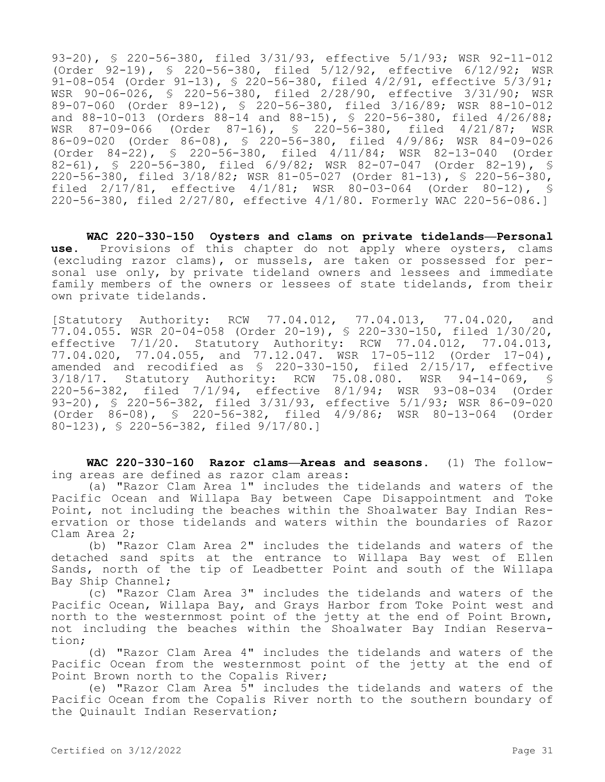93-20), § 220-56-380, filed 3/31/93, effective 5/1/93; WSR 92-11-012 (Order 92-19), § 220-56-380, filed 5/12/92, effective 6/12/92; WSR 91-08-054 (Order 91-13), § 220-56-380, filed 4/2/91, effective 5/3/91; WSR 90-06-026, § 220-56-380, filed 2/28/90, effective 3/31/90; WSR 89-07-060 (Order 89-12), § 220-56-380, filed 3/16/89; WSR 88-10-012 and 88-10-013 (Orders 88-14 and 88-15), § 220-56-380, filed 4/26/88;<br>WSR 87-09-066 (Order 87-16), § 220-56-380, filed 4/21/87; WSR WSR 87-09-066 (Order 87-16), § 220-56-380, filed 4/21/87; WSR 86-09-020 (Order 86-08), § 220-56-380, filed 4/9/86; WSR 84-09-026 (Order 84-22), § 220-56-380, filed 4/11/84; WSR 82-13-040 (Order 82-61), § 220-56-380, filed 6/9/82; WSR 82-07-047 (Order 82-19), § 220-56-380, filed 3/18/82; WSR 81-05-027 (Order 81-13), § 220-56-380, filed 2/17/81, effective 4/1/81; WSR 80-03-064 (Order 80-12), § 220-56-380, filed 2/27/80, effective 4/1/80. Formerly WAC 220-56-086.]

**WAC 220-330-150 Oysters and clams on private tidelands—Personal use.** Provisions of this chapter do not apply where oysters, clams (excluding razor clams), or mussels, are taken or possessed for personal use only, by private tideland owners and lessees and immediate family members of the owners or lessees of state tidelands, from their own private tidelands.

[Statutory Authority: RCW 77.04.012, 77.04.013, 77.04.020, and 77.04.055. WSR 20-04-058 (Order 20-19), § 220-330-150, filed 1/30/20, effective 7/1/20. Statutory Authority: RCW 77.04.012, 77.04.013, 77.04.020, 77.04.055, and 77.12.047. WSR 17-05-112 (Order 17-04), amended and recodified as § 220-330-150, filed 2/15/17, effective 3/18/17. Statutory Authority: RCW 75.08.080. WSR 94-14-069, § 220-56-382, filed 7/1/94, effective 8/1/94; WSR 93-08-034 (Order 93-20), § 220-56-382, filed 3/31/93, effective 5/1/93; WSR 86-09-020 (Order 86-08), § 220-56-382, filed 4/9/86; WSR 80-13-064 (Order 80-123), § 220-56-382, filed 9/17/80.]

**WAC 220-330-160 Razor clams—Areas and seasons.** (1) The following areas are defined as razor clam areas:

(a) "Razor Clam Area 1" includes the tidelands and waters of the Pacific Ocean and Willapa Bay between Cape Disappointment and Toke Point, not including the beaches within the Shoalwater Bay Indian Reservation or those tidelands and waters within the boundaries of Razor Clam Area 2;

(b) "Razor Clam Area 2" includes the tidelands and waters of the detached sand spits at the entrance to Willapa Bay west of Ellen Sands, north of the tip of Leadbetter Point and south of the Willapa Bay Ship Channel;

(c) "Razor Clam Area 3" includes the tidelands and waters of the Pacific Ocean, Willapa Bay, and Grays Harbor from Toke Point west and north to the westernmost point of the jetty at the end of Point Brown, not including the beaches within the Shoalwater Bay Indian Reservation;

(d) "Razor Clam Area 4" includes the tidelands and waters of the Pacific Ocean from the westernmost point of the jetty at the end of Point Brown north to the Copalis River;

(e) "Razor Clam Area 5" includes the tidelands and waters of the Pacific Ocean from the Copalis River north to the southern boundary of the Quinault Indian Reservation;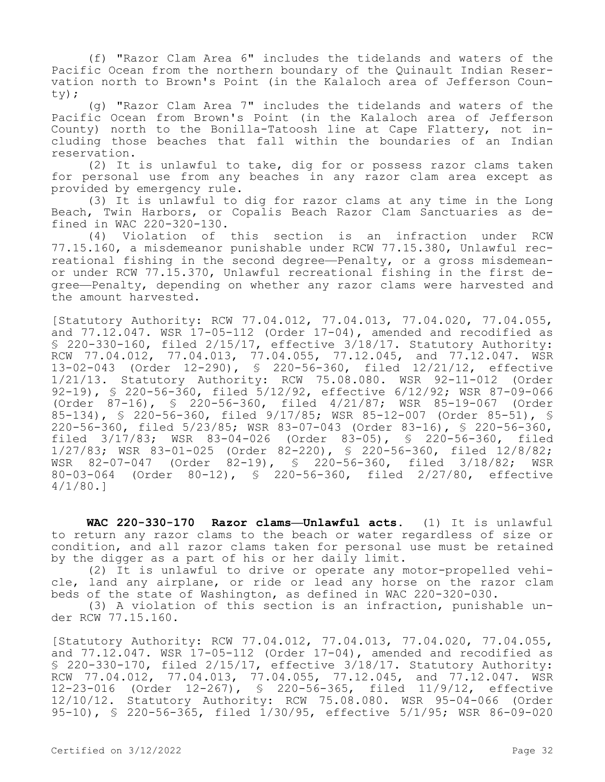(f) "Razor Clam Area 6" includes the tidelands and waters of the Pacific Ocean from the northern boundary of the Quinault Indian Reservation north to Brown's Point (in the Kalaloch area of Jefferson County);

(g) "Razor Clam Area 7" includes the tidelands and waters of the Pacific Ocean from Brown's Point (in the Kalaloch area of Jefferson County) north to the Bonilla-Tatoosh line at Cape Flattery, not including those beaches that fall within the boundaries of an Indian reservation.

(2) It is unlawful to take, dig for or possess razor clams taken for personal use from any beaches in any razor clam area except as provided by emergency rule.

(3) It is unlawful to dig for razor clams at any time in the Long Beach, Twin Harbors, or Copalis Beach Razor Clam Sanctuaries as defined in WAC 220-320-130.

(4) Violation of this section is an infraction under RCW 77.15.160, a misdemeanor punishable under RCW 77.15.380, Unlawful recreational fishing in the second degree—Penalty, or a gross misdemeanor under RCW 77.15.370, Unlawful recreational fishing in the first degree—Penalty, depending on whether any razor clams were harvested and the amount harvested.

[Statutory Authority: RCW 77.04.012, 77.04.013, 77.04.020, 77.04.055, and 77.12.047. WSR 17-05-112 (Order 17-04), amended and recodified as § 220-330-160, filed 2/15/17, effective 3/18/17. Statutory Authority: RCW 77.04.012, 77.04.013, 77.04.055, 77.12.045, and 77.12.047. WSR 13-02-043 (Order 12-290), § 220-56-360, filed 12/21/12, effective 1/21/13. Statutory Authority: RCW 75.08.080. WSR 92-11-012 (Order 92-19), § 220-56-360, filed 5/12/92, effective 6/12/92; WSR 87-09-066 (Order 87-16), § 220-56-360, filed 4/21/87; WSR 85-19-067 (Order 85-134), § 220-56-360, filed 9/17/85; WSR 85-12-007 (Order 85-51), § 220-56-360, filed 5/23/85; WSR 83-07-043 (Order 83-16), § 220-56-360, filed 3/17/83; WSR 83-04-026 (Order 83-05), § 220-56-360, filed 1/27/83; WSR 83-01-025 (Order 82-220), § 220-56-360, filed 12/8/82; WSR 82-07-047 (Order 82-19), § 220-56-360, filed 3/18/82; WSR 80-03-064 (Order 80-12), § 220-56-360, filed 2/27/80, effective  $4/1/80.$ ]

**WAC 220-330-170 Razor clams—Unlawful acts.** (1) It is unlawful to return any razor clams to the beach or water regardless of size or condition, and all razor clams taken for personal use must be retained by the digger as a part of his or her daily limit.

(2) It is unlawful to drive or operate any motor-propelled vehicle, land any airplane, or ride or lead any horse on the razor clam beds of the state of Washington, as defined in WAC 220-320-030.

(3) A violation of this section is an infraction, punishable under RCW 77.15.160.

[Statutory Authority: RCW 77.04.012, 77.04.013, 77.04.020, 77.04.055, and  $77.12.047$ . WSR  $17-05-112$  (Order  $17-04$ ), amended and recodified as § 220-330-170, filed 2/15/17, effective 3/18/17. Statutory Authority: RCW 77.04.012, 77.04.013, 77.04.055, 77.12.045, and 77.12.047. WSR 12-23-016 (Order 12-267), § 220-56-365, filed 11/9/12, effective 12/10/12. Statutory Authority: RCW 75.08.080. WSR 95-04-066 (Order 95-10), § 220-56-365, filed 1/30/95, effective 5/1/95; WSR 86-09-020